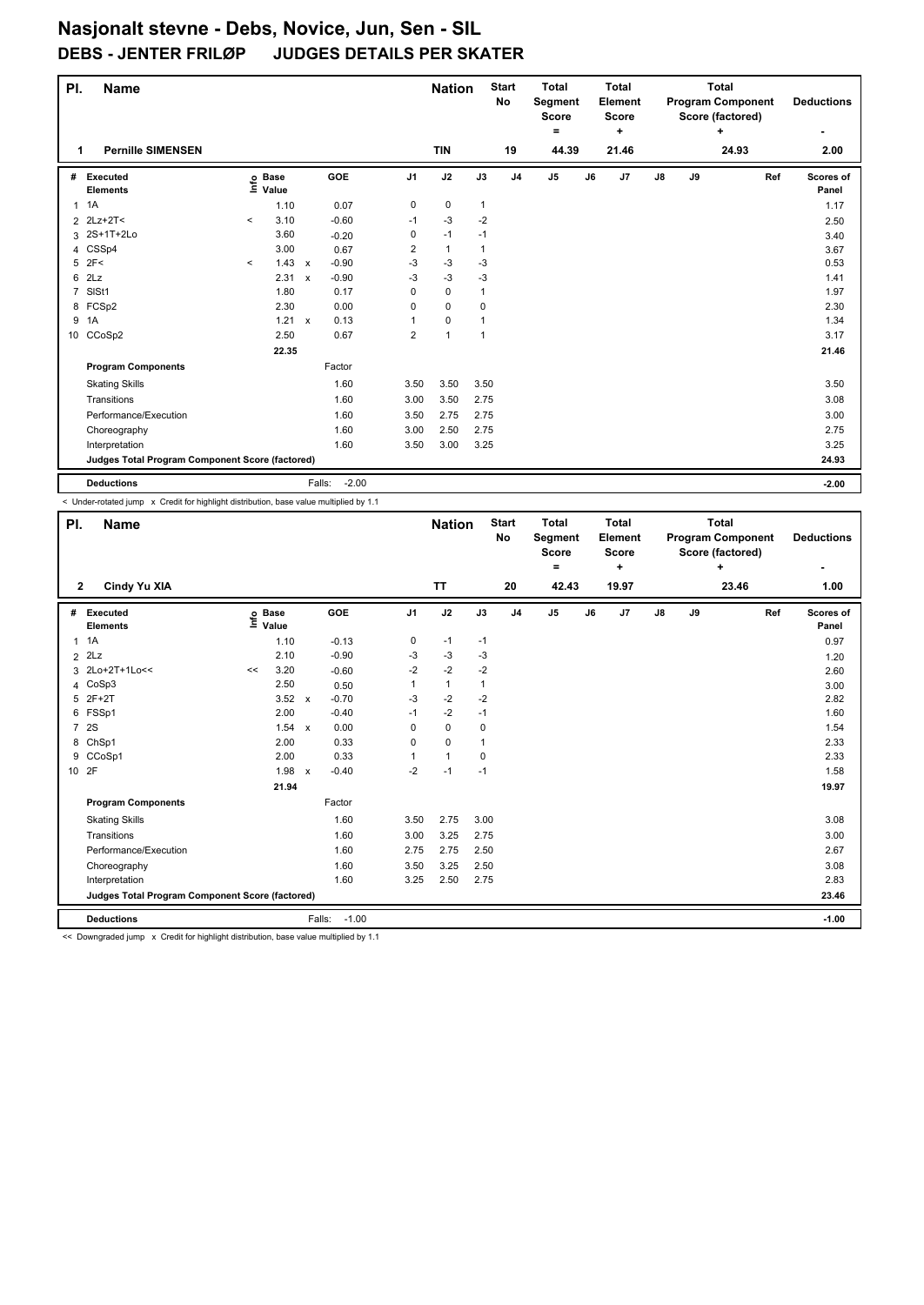| PI.            | <b>Name</b>                                     |         |                                  |              |                   |                | <b>Nation</b> |              | <b>Start</b><br>No | <b>Total</b><br>Segment<br>Score |    | <b>Total</b><br>Element<br><b>Score</b> |    |    | <b>Total</b><br><b>Program Component</b><br>Score (factored) |     | <b>Deductions</b>  |
|----------------|-------------------------------------------------|---------|----------------------------------|--------------|-------------------|----------------|---------------|--------------|--------------------|----------------------------------|----|-----------------------------------------|----|----|--------------------------------------------------------------|-----|--------------------|
|                |                                                 |         |                                  |              |                   |                |               |              |                    | ۰                                |    | ÷                                       |    |    | ÷                                                            |     | ۰                  |
| 1              | <b>Pernille SIMENSEN</b>                        |         |                                  |              |                   |                | <b>TIN</b>    |              | 19                 | 44.39                            |    | 21.46                                   |    |    | 24.93                                                        |     | 2.00               |
| #              | Executed<br><b>Elements</b>                     |         | <b>Base</b><br>e Base<br>⊆ Value |              | GOE               | J <sub>1</sub> | J2            | J3           | J <sub>4</sub>     | J <sub>5</sub>                   | J6 | J7                                      | J8 | J9 |                                                              | Ref | Scores of<br>Panel |
| $\mathbf{1}$   | 1A                                              |         | 1.10                             |              | 0.07              | 0              | 0             | $\mathbf{1}$ |                    |                                  |    |                                         |    |    |                                                              |     | 1.17               |
|                | 2 2Lz+2T<                                       | $\prec$ | 3.10                             |              | $-0.60$           | $-1$           | $-3$          | $-2$         |                    |                                  |    |                                         |    |    |                                                              |     | 2.50               |
|                | 3 2S+1T+2Lo                                     |         | 3.60                             |              | $-0.20$           | 0              | $-1$          | $-1$         |                    |                                  |    |                                         |    |    |                                                              |     | 3.40               |
| 4              | CSSp4                                           |         | 3.00                             |              | 0.67              | 2              | $\mathbf{1}$  | 1            |                    |                                  |    |                                         |    |    |                                                              |     | 3.67               |
| 5              | 2F<                                             | $\prec$ | 1.43                             | $\mathsf{x}$ | $-0.90$           | $-3$           | $-3$          | -3           |                    |                                  |    |                                         |    |    |                                                              |     | 0.53               |
| 6              | 2Lz                                             |         | 2.31                             | $\mathsf{x}$ | $-0.90$           | $-3$           | $-3$          | $-3$         |                    |                                  |    |                                         |    |    |                                                              |     | 1.41               |
| $\overline{7}$ | SISt1                                           |         | 1.80                             |              | 0.17              | 0              | $\mathbf 0$   | 1            |                    |                                  |    |                                         |    |    |                                                              |     | 1.97               |
|                | 8 FCSp2                                         |         | 2.30                             |              | 0.00              | 0              | $\mathbf 0$   | 0            |                    |                                  |    |                                         |    |    |                                                              |     | 2.30               |
| 9              | 1A                                              |         | 1.21                             | $\mathsf{x}$ | 0.13              | 1              | 0             | 1            |                    |                                  |    |                                         |    |    |                                                              |     | 1.34               |
|                | 10 CCoSp2                                       |         | 2.50                             |              | 0.67              | $\overline{2}$ | $\mathbf{1}$  | $\mathbf{1}$ |                    |                                  |    |                                         |    |    |                                                              |     | 3.17               |
|                |                                                 |         | 22.35                            |              |                   |                |               |              |                    |                                  |    |                                         |    |    |                                                              |     | 21.46              |
|                | <b>Program Components</b>                       |         |                                  |              | Factor            |                |               |              |                    |                                  |    |                                         |    |    |                                                              |     |                    |
|                | <b>Skating Skills</b>                           |         |                                  |              | 1.60              | 3.50           | 3.50          | 3.50         |                    |                                  |    |                                         |    |    |                                                              |     | 3.50               |
|                | Transitions                                     |         |                                  |              | 1.60              | 3.00           | 3.50          | 2.75         |                    |                                  |    |                                         |    |    |                                                              |     | 3.08               |
|                | Performance/Execution                           |         |                                  |              | 1.60              | 3.50           | 2.75          | 2.75         |                    |                                  |    |                                         |    |    |                                                              |     | 3.00               |
|                | Choreography                                    |         |                                  |              | 1.60              | 3.00           | 2.50          | 2.75         |                    |                                  |    |                                         |    |    |                                                              |     | 2.75               |
|                | Interpretation                                  |         |                                  |              | 1.60              | 3.50           | 3.00          | 3.25         |                    |                                  |    |                                         |    |    |                                                              |     | 3.25               |
|                | Judges Total Program Component Score (factored) |         |                                  |              |                   |                |               |              |                    |                                  |    |                                         |    |    |                                                              |     | 24.93              |
|                | <b>Deductions</b>                               |         |                                  |              | $-2.00$<br>Falls: |                |               |              |                    |                                  |    |                                         |    |    |                                                              |     | $-2.00$            |

 $\sim$  Under-rotated jump  $\times$  Credit for highlight distribution, base value multiplied by 1.1

| PI.            | <b>Name</b>                                     |    |                      |              |                   |                | <b>Nation</b> |              | <b>Start</b><br><b>No</b> | <b>Total</b><br>Segment<br><b>Score</b><br>۰ |    | <b>Total</b><br>Element<br><b>Score</b><br>÷ |               |    | <b>Total</b><br><b>Program Component</b><br>Score (factored)<br>÷ |     | <b>Deductions</b>  |
|----------------|-------------------------------------------------|----|----------------------|--------------|-------------------|----------------|---------------|--------------|---------------------------|----------------------------------------------|----|----------------------------------------------|---------------|----|-------------------------------------------------------------------|-----|--------------------|
| $\mathbf{2}$   | Cindy Yu XIA                                    |    |                      |              |                   |                | <b>TT</b>     |              | 20                        | 42.43                                        |    | 19.97                                        |               |    | 23.46                                                             |     | 1.00               |
| #              | Executed<br><b>Elements</b>                     | ١m | <b>Base</b><br>Value |              | GOE               | J <sub>1</sub> | J2            | J3           | J <sub>4</sub>            | J5                                           | J6 | J7                                           | $\mathsf{J}8$ | J9 |                                                                   | Ref | Scores of<br>Panel |
| 1              | 1A                                              |    | 1.10                 |              | $-0.13$           | $\pmb{0}$      | $-1$          | $-1$         |                           |                                              |    |                                              |               |    |                                                                   |     | 0.97               |
| $\overline{2}$ | 2Lz                                             |    | 2.10                 |              | $-0.90$           | -3             | -3            | -3           |                           |                                              |    |                                              |               |    |                                                                   |     | 1.20               |
| 3              | 2Lo+2T+1Lo<<                                    | << | 3.20                 |              | $-0.60$           | $-2$           | $-2$          | $-2$         |                           |                                              |    |                                              |               |    |                                                                   |     | 2.60               |
| 4              | CoSp3                                           |    | 2.50                 |              | 0.50              |                | $\mathbf{1}$  | $\mathbf{1}$ |                           |                                              |    |                                              |               |    |                                                                   |     | 3.00               |
| 5              | $2F+2T$                                         |    | 3.52                 | $\mathsf{x}$ | $-0.70$           | -3             | $-2$          | $-2$         |                           |                                              |    |                                              |               |    |                                                                   |     | 2.82               |
| 6              | FSSp1                                           |    | 2.00                 |              | $-0.40$           | $-1$           | $-2$          | $-1$         |                           |                                              |    |                                              |               |    |                                                                   |     | 1.60               |
| $\overline{7}$ | 2S                                              |    | 1.54 x               |              | 0.00              | $\mathbf 0$    | $\mathbf 0$   | $\mathbf 0$  |                           |                                              |    |                                              |               |    |                                                                   |     | 1.54               |
|                | 8 ChSp1                                         |    | 2.00                 |              | 0.33              | 0              | $\mathbf 0$   | 1            |                           |                                              |    |                                              |               |    |                                                                   |     | 2.33               |
|                | 9 CCoSp1                                        |    | 2.00                 |              | 0.33              |                | $\mathbf{1}$  | 0            |                           |                                              |    |                                              |               |    |                                                                   |     | 2.33               |
|                | 10 2F                                           |    | 1.98                 | $\mathsf{x}$ | $-0.40$           | $-2$           | $-1$          | $-1$         |                           |                                              |    |                                              |               |    |                                                                   |     | 1.58               |
|                |                                                 |    | 21.94                |              |                   |                |               |              |                           |                                              |    |                                              |               |    |                                                                   |     | 19.97              |
|                | <b>Program Components</b>                       |    |                      |              | Factor            |                |               |              |                           |                                              |    |                                              |               |    |                                                                   |     |                    |
|                | <b>Skating Skills</b>                           |    |                      |              | 1.60              | 3.50           | 2.75          | 3.00         |                           |                                              |    |                                              |               |    |                                                                   |     | 3.08               |
|                | Transitions                                     |    |                      |              | 1.60              | 3.00           | 3.25          | 2.75         |                           |                                              |    |                                              |               |    |                                                                   |     | 3.00               |
|                | Performance/Execution                           |    |                      |              | 1.60              | 2.75           | 2.75          | 2.50         |                           |                                              |    |                                              |               |    |                                                                   |     | 2.67               |
|                | Choreography                                    |    |                      |              | 1.60              | 3.50           | 3.25          | 2.50         |                           |                                              |    |                                              |               |    |                                                                   |     | 3.08               |
|                | Interpretation                                  |    |                      |              | 1.60              | 3.25           | 2.50          | 2.75         |                           |                                              |    |                                              |               |    |                                                                   |     | 2.83               |
|                | Judges Total Program Component Score (factored) |    |                      |              |                   |                |               |              |                           |                                              |    |                                              |               |    |                                                                   |     | 23.46              |
|                | <b>Deductions</b>                               |    |                      |              | $-1.00$<br>Falls: |                |               |              |                           |                                              |    |                                              |               |    |                                                                   |     | $-1.00$            |

<< Downgraded jump x Credit for highlight distribution, base value multiplied by 1.1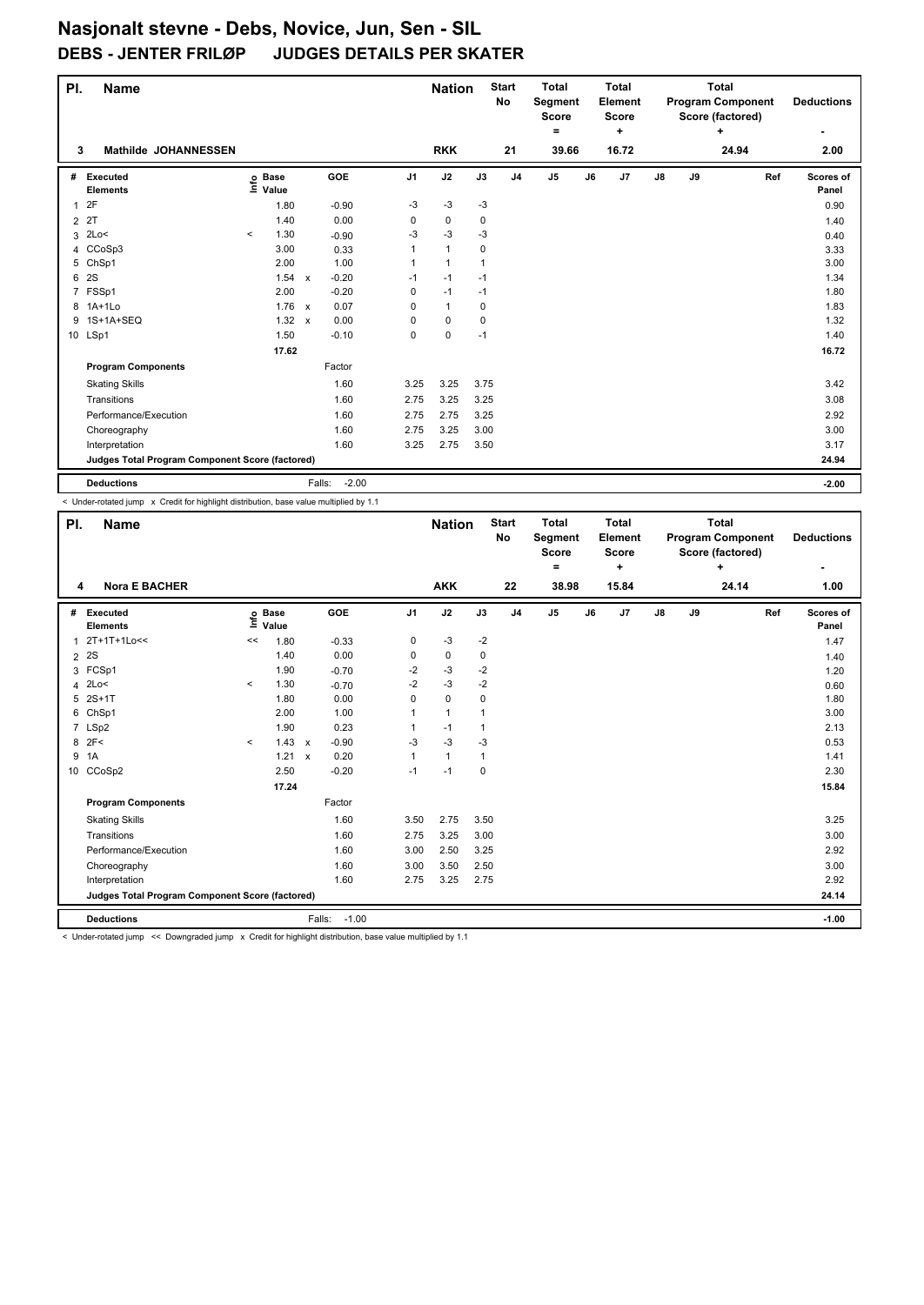| PI.            | <b>Name</b>                                     |                     |                                  |              |                   |                | <b>Nation</b> |              | <b>Start</b><br>No | <b>Total</b><br>Segment<br><b>Score</b> |    | <b>Total</b><br><b>Element</b><br><b>Score</b> |               |    | <b>Total</b><br><b>Program Component</b><br>Score (factored) |     | <b>Deductions</b>  |
|----------------|-------------------------------------------------|---------------------|----------------------------------|--------------|-------------------|----------------|---------------|--------------|--------------------|-----------------------------------------|----|------------------------------------------------|---------------|----|--------------------------------------------------------------|-----|--------------------|
|                |                                                 |                     |                                  |              |                   |                |               |              |                    | Ξ.                                      |    | ٠                                              |               |    | ÷                                                            |     | ۰                  |
| 3              | <b>Mathilde JOHANNESSEN</b>                     |                     |                                  |              |                   |                | <b>RKK</b>    |              | 21                 | 39.66                                   |    | 16.72                                          |               |    | 24.94                                                        |     | 2.00               |
| #              | Executed<br><b>Elements</b>                     |                     | <b>Base</b><br>e Base<br>⊑ Value |              | GOE               | J <sub>1</sub> | J2            | J3           | J <sub>4</sub>     | J5                                      | J6 | J7                                             | $\mathsf{J}8$ | J9 |                                                              | Ref | Scores of<br>Panel |
| $\mathbf{1}$   | 2F                                              |                     | 1.80                             |              | $-0.90$           | -3             | $-3$          | -3           |                    |                                         |    |                                                |               |    |                                                              |     | 0.90               |
| $\overline{2}$ | 2T                                              |                     | 1.40                             |              | 0.00              | 0              | $\pmb{0}$     | 0            |                    |                                         |    |                                                |               |    |                                                              |     | 1.40               |
| 3              | 2Lo<                                            | $\hat{\phantom{a}}$ | 1.30                             |              | $-0.90$           | -3             | $-3$          | $-3$         |                    |                                         |    |                                                |               |    |                                                              |     | 0.40               |
| 4              | CCoSp3                                          |                     | 3.00                             |              | 0.33              |                | $\mathbf{1}$  | 0            |                    |                                         |    |                                                |               |    |                                                              |     | 3.33               |
| 5              | ChSp1                                           |                     | 2.00                             |              | 1.00              |                | $\mathbf{1}$  | $\mathbf{1}$ |                    |                                         |    |                                                |               |    |                                                              |     | 3.00               |
| 6              | 2S                                              |                     | 1.54                             | $\mathsf{x}$ | $-0.20$           | $-1$           | $-1$          | $-1$         |                    |                                         |    |                                                |               |    |                                                              |     | 1.34               |
|                | 7 FSSp1                                         |                     | 2.00                             |              | $-0.20$           | 0              | $-1$          | $-1$         |                    |                                         |    |                                                |               |    |                                                              |     | 1.80               |
| 8              | $1A+1L0$                                        |                     | 1.76 x                           |              | 0.07              | 0              | $\mathbf{1}$  | 0            |                    |                                         |    |                                                |               |    |                                                              |     | 1.83               |
| 9              | 1S+1A+SEQ                                       |                     | 1.32                             | $\mathsf{x}$ | 0.00              | 0              | $\mathbf 0$   | 0            |                    |                                         |    |                                                |               |    |                                                              |     | 1.32               |
|                | 10 LSp1                                         |                     | 1.50                             |              | $-0.10$           | 0              | $\mathbf 0$   | $-1$         |                    |                                         |    |                                                |               |    |                                                              |     | 1.40               |
|                |                                                 |                     | 17.62                            |              |                   |                |               |              |                    |                                         |    |                                                |               |    |                                                              |     | 16.72              |
|                | <b>Program Components</b>                       |                     |                                  |              | Factor            |                |               |              |                    |                                         |    |                                                |               |    |                                                              |     |                    |
|                | <b>Skating Skills</b>                           |                     |                                  |              | 1.60              | 3.25           | 3.25          | 3.75         |                    |                                         |    |                                                |               |    |                                                              |     | 3.42               |
|                | Transitions                                     |                     |                                  |              | 1.60              | 2.75           | 3.25          | 3.25         |                    |                                         |    |                                                |               |    |                                                              |     | 3.08               |
|                | Performance/Execution                           |                     |                                  |              | 1.60              | 2.75           | 2.75          | 3.25         |                    |                                         |    |                                                |               |    |                                                              |     | 2.92               |
|                | Choreography                                    |                     |                                  |              | 1.60              | 2.75           | 3.25          | 3.00         |                    |                                         |    |                                                |               |    |                                                              |     | 3.00               |
|                | Interpretation                                  |                     |                                  |              | 1.60              | 3.25           | 2.75          | 3.50         |                    |                                         |    |                                                |               |    |                                                              |     | 3.17               |
|                | Judges Total Program Component Score (factored) |                     |                                  |              |                   |                |               |              |                    |                                         |    |                                                |               |    |                                                              |     | 24.94              |
|                | <b>Deductions</b>                               |                     |                                  |              | $-2.00$<br>Falls: |                |               |              |                    |                                         |    |                                                |               |    |                                                              |     | $-2.00$            |

 $\sim$  Under-rotated jump  $\times$  Credit for highlight distribution, base value multiplied by 1.1

| PI.            | <b>Name</b>                                     |         |                            |                           |                   |              | <b>Nation</b> |      | <b>Start</b><br><b>No</b> | <b>Total</b><br>Segment<br><b>Score</b><br>$\equiv$ |    | <b>Total</b><br>Element<br><b>Score</b><br>٠ |               |    | <b>Total</b><br><b>Program Component</b><br>Score (factored)<br>$\ddot{}$ |     | <b>Deductions</b>  |
|----------------|-------------------------------------------------|---------|----------------------------|---------------------------|-------------------|--------------|---------------|------|---------------------------|-----------------------------------------------------|----|----------------------------------------------|---------------|----|---------------------------------------------------------------------------|-----|--------------------|
| 4              | <b>Nora E BACHER</b>                            |         |                            |                           |                   |              | <b>AKK</b>    |      | 22                        | 38.98                                               |    | 15.84                                        |               |    | 24.14                                                                     |     | 1.00               |
| #              | Executed<br><b>Elements</b>                     |         | e Base<br>E Value<br>Value |                           | <b>GOE</b>        | J1           | J2            | J3   | J <sub>4</sub>            | J <sub>5</sub>                                      | J6 | J7                                           | $\mathsf{J}8$ | J9 |                                                                           | Ref | Scores of<br>Panel |
| 1              | 2T+1T+1Lo<<                                     | <<      | 1.80                       |                           | $-0.33$           | 0            | $-3$          | $-2$ |                           |                                                     |    |                                              |               |    |                                                                           |     | 1.47               |
| $\overline{2}$ | 2S                                              |         | 1.40                       |                           | 0.00              | 0            | 0             | 0    |                           |                                                     |    |                                              |               |    |                                                                           |     | 1.40               |
| 3              | FCSp1                                           |         | 1.90                       |                           | $-0.70$           | -2           | $-3$          | $-2$ |                           |                                                     |    |                                              |               |    |                                                                           |     | 1.20               |
| 4              | 2Lo<                                            | $\prec$ | 1.30                       |                           | $-0.70$           | $-2$         | $-3$          | $-2$ |                           |                                                     |    |                                              |               |    |                                                                           |     | 0.60               |
| 5              | $2S+1T$                                         |         | 1.80                       |                           | 0.00              | 0            | $\mathbf 0$   | 0    |                           |                                                     |    |                                              |               |    |                                                                           |     | 1.80               |
| 6              | ChSp1                                           |         | 2.00                       |                           | 1.00              | 1            | $\mathbf{1}$  | 1    |                           |                                                     |    |                                              |               |    |                                                                           |     | 3.00               |
|                | 7 LSp2                                          |         | 1.90                       |                           | 0.23              | 1            | $-1$          | 1    |                           |                                                     |    |                                              |               |    |                                                                           |     | 2.13               |
| 8 2F<          |                                                 | $\prec$ | 1.43                       | $\boldsymbol{\mathsf{x}}$ | $-0.90$           | $-3$         | $-3$          | $-3$ |                           |                                                     |    |                                              |               |    |                                                                           |     | 0.53               |
| 9              | 1A                                              |         | 1.21 x                     |                           | 0.20              | $\mathbf{1}$ | $\mathbf{1}$  | 1    |                           |                                                     |    |                                              |               |    |                                                                           |     | 1.41               |
|                | 10 CCoSp2                                       |         | 2.50                       |                           | $-0.20$           | $-1$         | $-1$          | 0    |                           |                                                     |    |                                              |               |    |                                                                           |     | 2.30               |
|                |                                                 |         | 17.24                      |                           |                   |              |               |      |                           |                                                     |    |                                              |               |    |                                                                           |     | 15.84              |
|                | <b>Program Components</b>                       |         |                            |                           | Factor            |              |               |      |                           |                                                     |    |                                              |               |    |                                                                           |     |                    |
|                | <b>Skating Skills</b>                           |         |                            |                           | 1.60              | 3.50         | 2.75          | 3.50 |                           |                                                     |    |                                              |               |    |                                                                           |     | 3.25               |
|                | Transitions                                     |         |                            |                           | 1.60              | 2.75         | 3.25          | 3.00 |                           |                                                     |    |                                              |               |    |                                                                           |     | 3.00               |
|                | Performance/Execution                           |         |                            |                           | 1.60              | 3.00         | 2.50          | 3.25 |                           |                                                     |    |                                              |               |    |                                                                           |     | 2.92               |
|                | Choreography                                    |         |                            |                           | 1.60              | 3.00         | 3.50          | 2.50 |                           |                                                     |    |                                              |               |    |                                                                           |     | 3.00               |
|                | Interpretation                                  |         |                            |                           | 1.60              | 2.75         | 3.25          | 2.75 |                           |                                                     |    |                                              |               |    |                                                                           |     | 2.92               |
|                | Judges Total Program Component Score (factored) |         |                            |                           |                   |              |               |      |                           |                                                     |    |                                              |               |    |                                                                           |     | 24.14              |
|                | <b>Deductions</b>                               |         |                            |                           | Falls:<br>$-1.00$ |              |               |      |                           |                                                     |    |                                              |               |    |                                                                           |     | $-1.00$            |

< Under-rotated jump << Downgraded jump x Credit for highlight distribution, base value multiplied by 1.1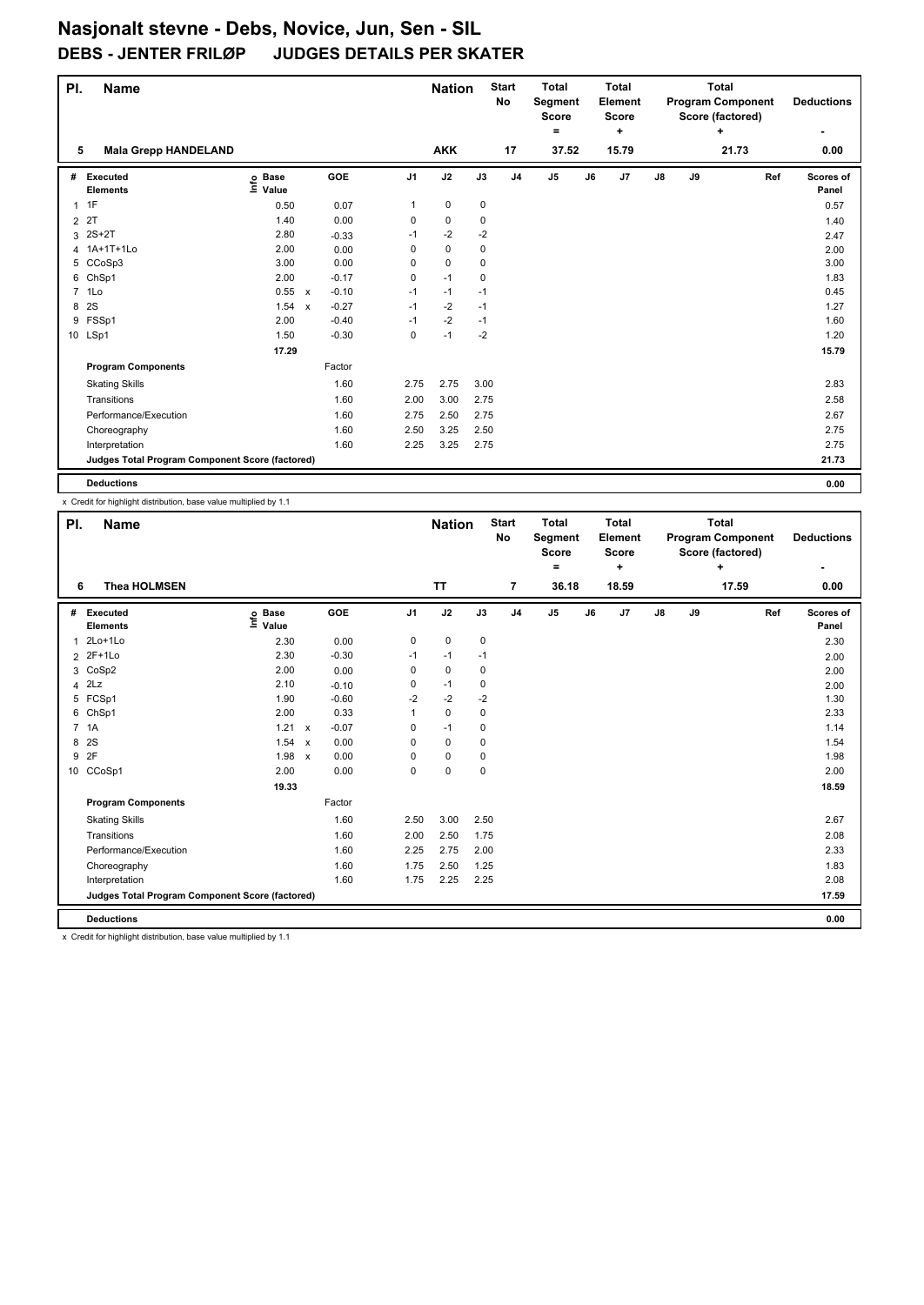| PI.            | <b>Name</b>                                     |                                  |                           |         |                | <b>Nation</b> |      | <b>Start</b><br><b>No</b> | <b>Total</b><br>Segment<br><b>Score</b> |    | <b>Total</b><br>Element<br><b>Score</b> |               |    | <b>Total</b><br><b>Program Component</b><br>Score (factored) | <b>Deductions</b>  |
|----------------|-------------------------------------------------|----------------------------------|---------------------------|---------|----------------|---------------|------|---------------------------|-----------------------------------------|----|-----------------------------------------|---------------|----|--------------------------------------------------------------|--------------------|
|                |                                                 |                                  |                           |         |                |               |      |                           | =                                       |    | ÷                                       |               |    | ÷                                                            | ۰                  |
| 5              | <b>Mala Grepp HANDELAND</b>                     |                                  |                           |         |                | <b>AKK</b>    |      | 17                        | 37.52                                   |    | 15.79                                   |               |    | 21.73                                                        | 0.00               |
| #              | Executed<br><b>Elements</b>                     | <b>Base</b><br>e Base<br>⊆ Value |                           | GOE     | J <sub>1</sub> | J2            | J3   | J <sub>4</sub>            | J5                                      | J6 | J7                                      | $\mathsf{J}8$ | J9 | Ref                                                          | Scores of<br>Panel |
|                | 1T                                              | 0.50                             |                           | 0.07    | 1              | 0             | 0    |                           |                                         |    |                                         |               |    |                                                              | 0.57               |
|                | 2 2T                                            | 1.40                             |                           | 0.00    | 0              | $\pmb{0}$     | 0    |                           |                                         |    |                                         |               |    |                                                              | 1.40               |
| 3              | $2S+2T$                                         | 2.80                             |                           | $-0.33$ | $-1$           | $-2$          | $-2$ |                           |                                         |    |                                         |               |    |                                                              | 2.47               |
| 4              | 1A+1T+1Lo                                       | 2.00                             |                           | 0.00    | 0              | $\pmb{0}$     | 0    |                           |                                         |    |                                         |               |    |                                                              | 2.00               |
|                | 5 CCoSp3                                        | 3.00                             |                           | 0.00    | 0              | $\mathbf 0$   | 0    |                           |                                         |    |                                         |               |    |                                                              | 3.00               |
| 6              | ChSp1                                           | 2.00                             |                           | $-0.17$ | 0              | $-1$          | 0    |                           |                                         |    |                                         |               |    |                                                              | 1.83               |
| $\overline{7}$ | 1Lo                                             | 0.55 x                           |                           | $-0.10$ | $-1$           | $-1$          | $-1$ |                           |                                         |    |                                         |               |    |                                                              | 0.45               |
| 8              | 2S                                              | 1.54                             | $\boldsymbol{\mathsf{x}}$ | $-0.27$ | $-1$           | $-2$          | $-1$ |                           |                                         |    |                                         |               |    |                                                              | 1.27               |
|                | 9 FSSp1                                         | 2.00                             |                           | $-0.40$ | $-1$           | $-2$          | $-1$ |                           |                                         |    |                                         |               |    |                                                              | 1.60               |
|                | 10 LSp1                                         | 1.50                             |                           | $-0.30$ | 0              | $-1$          | $-2$ |                           |                                         |    |                                         |               |    |                                                              | 1.20               |
|                |                                                 | 17.29                            |                           |         |                |               |      |                           |                                         |    |                                         |               |    |                                                              | 15.79              |
|                | <b>Program Components</b>                       |                                  |                           | Factor  |                |               |      |                           |                                         |    |                                         |               |    |                                                              |                    |
|                | <b>Skating Skills</b>                           |                                  |                           | 1.60    | 2.75           | 2.75          | 3.00 |                           |                                         |    |                                         |               |    |                                                              | 2.83               |
|                | Transitions                                     |                                  |                           | 1.60    | 2.00           | 3.00          | 2.75 |                           |                                         |    |                                         |               |    |                                                              | 2.58               |
|                | Performance/Execution                           |                                  |                           | 1.60    | 2.75           | 2.50          | 2.75 |                           |                                         |    |                                         |               |    |                                                              | 2.67               |
|                | Choreography                                    |                                  |                           | 1.60    | 2.50           | 3.25          | 2.50 |                           |                                         |    |                                         |               |    |                                                              | 2.75               |
|                | Interpretation                                  |                                  |                           | 1.60    | 2.25           | 3.25          | 2.75 |                           |                                         |    |                                         |               |    |                                                              | 2.75               |
|                | Judges Total Program Component Score (factored) |                                  |                           |         |                |               |      |                           |                                         |    |                                         |               |    |                                                              | 21.73              |
|                | <b>Deductions</b>                               |                                  |                           |         |                |               |      |                           |                                         |    |                                         |               |    |                                                              | 0.00               |

x Credit for highlight distribution, base value multiplied by 1.1

| PI.            | Name                                            |                              |              |         |                | <b>Nation</b> |             | <b>Start</b><br>No | <b>Total</b><br>Segment<br><b>Score</b> |    | <b>Total</b><br>Element<br><b>Score</b> |               |    | <b>Total</b><br><b>Program Component</b><br>Score (factored) |     | <b>Deductions</b>  |
|----------------|-------------------------------------------------|------------------------------|--------------|---------|----------------|---------------|-------------|--------------------|-----------------------------------------|----|-----------------------------------------|---------------|----|--------------------------------------------------------------|-----|--------------------|
|                |                                                 |                              |              |         |                |               |             |                    | ۰                                       |    | ٠                                       |               |    | ÷                                                            |     | ۰                  |
| 6              | <b>Thea HOLMSEN</b>                             |                              |              |         |                | <b>TT</b>     |             | $\overline{7}$     | 36.18                                   |    | 18.59                                   |               |    | 17.59                                                        |     | 0.00               |
| #              | Executed<br><b>Elements</b>                     | <b>Base</b><br>١mfo<br>Value |              | GOE     | J <sub>1</sub> | J2            | J3          | J <sub>4</sub>     | J5                                      | J6 | J7                                      | $\mathsf{J}8$ | J9 |                                                              | Ref | Scores of<br>Panel |
| 1              | $2Lo+1Lo$                                       | 2.30                         |              | 0.00    | 0              | 0             | 0           |                    |                                         |    |                                         |               |    |                                                              |     | 2.30               |
| $\overline{2}$ | $2F+1Lo$                                        | 2.30                         |              | $-0.30$ | $-1$           | $-1$          | $-1$        |                    |                                         |    |                                         |               |    |                                                              |     | 2.00               |
| 3              | CoSp2                                           | 2.00                         |              | 0.00    | 0              | $\mathbf 0$   | 0           |                    |                                         |    |                                         |               |    |                                                              |     | 2.00               |
| 4              | 2Lz                                             | 2.10                         |              | $-0.10$ | 0              | $-1$          | 0           |                    |                                         |    |                                         |               |    |                                                              |     | 2.00               |
|                | 5 FCSp1                                         | 1.90                         |              | $-0.60$ | $-2$           | $-2$          | $-2$        |                    |                                         |    |                                         |               |    |                                                              |     | 1.30               |
| 6              | ChSp1                                           | 2.00                         |              | 0.33    | 1              | $\pmb{0}$     | 0           |                    |                                         |    |                                         |               |    |                                                              |     | 2.33               |
|                | 7 1A                                            | 1.21                         | $\mathsf{x}$ | $-0.07$ | 0              | $-1$          | 0           |                    |                                         |    |                                         |               |    |                                                              |     | 1.14               |
| 8              | 2S                                              | 1.54                         | $\mathsf{x}$ | 0.00    | 0              | $\mathbf 0$   | $\mathbf 0$ |                    |                                         |    |                                         |               |    |                                                              |     | 1.54               |
| 9              | 2F                                              | 1.98                         | $\mathsf{x}$ | 0.00    | 0              | $\pmb{0}$     | 0           |                    |                                         |    |                                         |               |    |                                                              |     | 1.98               |
|                | 10 CCoSp1                                       | 2.00                         |              | 0.00    | 0              | $\mathbf 0$   | $\mathbf 0$ |                    |                                         |    |                                         |               |    |                                                              |     | 2.00               |
|                |                                                 | 19.33                        |              |         |                |               |             |                    |                                         |    |                                         |               |    |                                                              |     | 18.59              |
|                | <b>Program Components</b>                       |                              |              | Factor  |                |               |             |                    |                                         |    |                                         |               |    |                                                              |     |                    |
|                | <b>Skating Skills</b>                           |                              |              | 1.60    | 2.50           | 3.00          | 2.50        |                    |                                         |    |                                         |               |    |                                                              |     | 2.67               |
|                | Transitions                                     |                              |              | 1.60    | 2.00           | 2.50          | 1.75        |                    |                                         |    |                                         |               |    |                                                              |     | 2.08               |
|                | Performance/Execution                           |                              |              | 1.60    | 2.25           | 2.75          | 2.00        |                    |                                         |    |                                         |               |    |                                                              |     | 2.33               |
|                | Choreography                                    |                              |              | 1.60    | 1.75           | 2.50          | 1.25        |                    |                                         |    |                                         |               |    |                                                              |     | 1.83               |
|                | Interpretation                                  |                              |              | 1.60    | 1.75           | 2.25          | 2.25        |                    |                                         |    |                                         |               |    |                                                              |     | 2.08               |
|                | Judges Total Program Component Score (factored) |                              |              |         |                |               |             |                    |                                         |    |                                         |               |    |                                                              |     | 17.59              |
|                | <b>Deductions</b>                               |                              |              |         |                |               |             |                    |                                         |    |                                         |               |    |                                                              |     | 0.00               |

x Credit for highlight distribution, base value multiplied by 1.1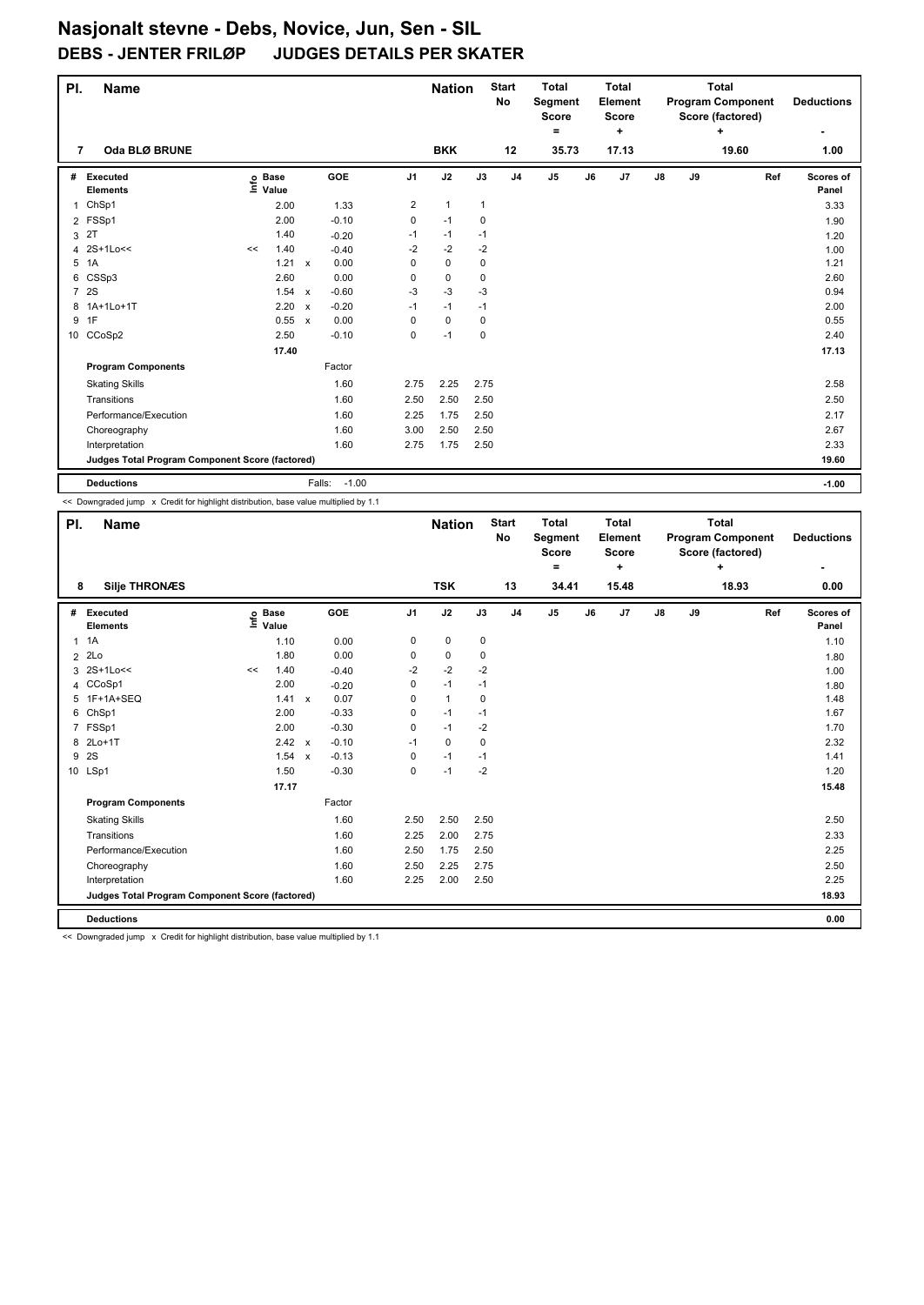| PI.            | <b>Name</b>                                     |    |                                  |                           |                   |                | <b>Nation</b> |              | <b>Start</b><br>No | <b>Total</b><br>Segment<br><b>Score</b> |    | <b>Total</b><br>Element<br><b>Score</b> |    |    | <b>Total</b><br><b>Program Component</b><br>Score (factored) | <b>Deductions</b>  |
|----------------|-------------------------------------------------|----|----------------------------------|---------------------------|-------------------|----------------|---------------|--------------|--------------------|-----------------------------------------|----|-----------------------------------------|----|----|--------------------------------------------------------------|--------------------|
|                |                                                 |    |                                  |                           |                   |                |               |              |                    | ۰                                       |    | ÷                                       |    |    | ÷                                                            | ۰                  |
| 7              | Oda BLØ BRUNE                                   |    |                                  |                           |                   |                | <b>BKK</b>    |              | 12                 | 35.73                                   |    | 17.13                                   |    |    | 19.60                                                        | 1.00               |
| #              | Executed<br><b>Elements</b>                     |    | <b>Base</b><br>e Base<br>⊆ Value |                           | <b>GOE</b>        | J <sub>1</sub> | J2            | J3           | J <sub>4</sub>     | J <sub>5</sub>                          | J6 | J7                                      | J8 | J9 | Ref                                                          | Scores of<br>Panel |
| 1              | ChSp1                                           |    | 2.00                             |                           | 1.33              | 2              | $\mathbf{1}$  | $\mathbf{1}$ |                    |                                         |    |                                         |    |    |                                                              | 3.33               |
| $\overline{2}$ | FSSp1                                           |    | 2.00                             |                           | $-0.10$           | $\mathbf 0$    | $-1$          | 0            |                    |                                         |    |                                         |    |    |                                                              | 1.90               |
| 3              | 2T                                              |    | 1.40                             |                           | $-0.20$           | $-1$           | -1            | $-1$         |                    |                                         |    |                                         |    |    |                                                              | 1.20               |
| 4              | 2S+1Lo<<                                        | << | 1.40                             |                           | $-0.40$           | $-2$           | $-2$          | $-2$         |                    |                                         |    |                                         |    |    |                                                              | 1.00               |
| 5              | 1A                                              |    | 1.21                             | $\mathsf{x}$              | 0.00              | 0              | $\mathbf 0$   | 0            |                    |                                         |    |                                         |    |    |                                                              | 1.21               |
| 6              | CSSp3                                           |    | 2.60                             |                           | 0.00              | 0              | $\mathbf 0$   | 0            |                    |                                         |    |                                         |    |    |                                                              | 2.60               |
| $\overline{7}$ | 2S                                              |    | 1.54 x                           |                           | $-0.60$           | $-3$           | $-3$          | $-3$         |                    |                                         |    |                                         |    |    |                                                              | 0.94               |
| 8              | 1A+1Lo+1T                                       |    | 2.20                             | $\boldsymbol{\mathsf{x}}$ | $-0.20$           | $-1$           | $-1$          | $-1$         |                    |                                         |    |                                         |    |    |                                                              | 2.00               |
| 9              | 1F                                              |    | 0.55                             | $\mathsf{x}$              | 0.00              | 0              | $\mathbf 0$   | 0            |                    |                                         |    |                                         |    |    |                                                              | 0.55               |
|                | 10 CCoSp2                                       |    | 2.50                             |                           | $-0.10$           | 0              | $-1$          | $\mathbf 0$  |                    |                                         |    |                                         |    |    |                                                              | 2.40               |
|                |                                                 |    | 17.40                            |                           |                   |                |               |              |                    |                                         |    |                                         |    |    |                                                              | 17.13              |
|                | <b>Program Components</b>                       |    |                                  |                           | Factor            |                |               |              |                    |                                         |    |                                         |    |    |                                                              |                    |
|                | <b>Skating Skills</b>                           |    |                                  |                           | 1.60              | 2.75           | 2.25          | 2.75         |                    |                                         |    |                                         |    |    |                                                              | 2.58               |
|                | Transitions                                     |    |                                  |                           | 1.60              | 2.50           | 2.50          | 2.50         |                    |                                         |    |                                         |    |    |                                                              | 2.50               |
|                | Performance/Execution                           |    |                                  |                           | 1.60              | 2.25           | 1.75          | 2.50         |                    |                                         |    |                                         |    |    |                                                              | 2.17               |
|                | Choreography                                    |    |                                  |                           | 1.60              | 3.00           | 2.50          | 2.50         |                    |                                         |    |                                         |    |    |                                                              | 2.67               |
|                | Interpretation                                  |    |                                  |                           | 1.60              | 2.75           | 1.75          | 2.50         |                    |                                         |    |                                         |    |    |                                                              | 2.33               |
|                | Judges Total Program Component Score (factored) |    |                                  |                           |                   |                |               |              |                    |                                         |    |                                         |    |    |                                                              | 19.60              |
|                | <b>Deductions</b>                               |    |                                  |                           | $-1.00$<br>Falls: |                |               |              |                    |                                         |    |                                         |    |    |                                                              | $-1.00$            |

<< Downgraded jump x Credit for highlight distribution, base value multiplied by 1.1

| PI.            | <b>Name</b>                                     |    |                            |              |            |                | <b>Nation</b> |      | <b>Start</b><br>No | <b>Total</b><br><b>Segment</b><br><b>Score</b><br>Ξ. |    | <b>Total</b><br><b>Element</b><br><b>Score</b><br>÷ |               |    | <b>Total</b><br><b>Program Component</b><br>Score (factored)<br>÷ |     | <b>Deductions</b>  |
|----------------|-------------------------------------------------|----|----------------------------|--------------|------------|----------------|---------------|------|--------------------|------------------------------------------------------|----|-----------------------------------------------------|---------------|----|-------------------------------------------------------------------|-----|--------------------|
| 8              | <b>Silje THRONÆS</b>                            |    |                            |              |            |                | <b>TSK</b>    |      | 13                 | 34.41                                                |    | 15.48                                               |               |    | 18.93                                                             |     | 0.00               |
| #              | Executed<br><b>Elements</b>                     |    | e Base<br>E Value<br>Value |              | <b>GOE</b> | J <sub>1</sub> | J2            | J3   | J <sub>4</sub>     | J <sub>5</sub>                                       | J6 | J7                                                  | $\mathsf{J}8$ | J9 |                                                                   | Ref | Scores of<br>Panel |
| $\mathbf{1}$   | 1A                                              |    | 1.10                       |              | 0.00       | 0              | $\pmb{0}$     | 0    |                    |                                                      |    |                                                     |               |    |                                                                   |     | 1.10               |
| $\overline{2}$ | 2Lo                                             |    | 1.80                       |              | 0.00       | 0              | 0             | 0    |                    |                                                      |    |                                                     |               |    |                                                                   |     | 1.80               |
| 3              | 2S+1Lo<<                                        | << | 1.40                       |              | $-0.40$    | $-2$           | $-2$          | $-2$ |                    |                                                      |    |                                                     |               |    |                                                                   |     | 1.00               |
|                | 4 CCoSp1                                        |    | 2.00                       |              | $-0.20$    | 0              | $-1$          | $-1$ |                    |                                                      |    |                                                     |               |    |                                                                   |     | 1.80               |
|                | 5 1F+1A+SEQ                                     |    | 1.41 x                     |              | 0.07       | $\Omega$       | $\mathbf{1}$  | 0    |                    |                                                      |    |                                                     |               |    |                                                                   |     | 1.48               |
| 6              | ChSp1                                           |    | 2.00                       |              | $-0.33$    | 0              | $-1$          | $-1$ |                    |                                                      |    |                                                     |               |    |                                                                   |     | 1.67               |
|                | 7 FSSp1                                         |    | 2.00                       |              | $-0.30$    | 0              | $-1$          | $-2$ |                    |                                                      |    |                                                     |               |    |                                                                   |     | 1.70               |
| 8              | $2Lo+1T$                                        |    | 2.42                       | $\mathsf{x}$ | $-0.10$    | $-1$           | 0             | 0    |                    |                                                      |    |                                                     |               |    |                                                                   |     | 2.32               |
| 9              | 2S                                              |    | 1.54                       | $\mathsf{x}$ | $-0.13$    | 0              | $-1$          | $-1$ |                    |                                                      |    |                                                     |               |    |                                                                   |     | 1.41               |
|                | 10 LSp1                                         |    | 1.50                       |              | $-0.30$    | 0              | $-1$          | $-2$ |                    |                                                      |    |                                                     |               |    |                                                                   |     | 1.20               |
|                |                                                 |    | 17.17                      |              |            |                |               |      |                    |                                                      |    |                                                     |               |    |                                                                   |     | 15.48              |
|                | <b>Program Components</b>                       |    |                            |              | Factor     |                |               |      |                    |                                                      |    |                                                     |               |    |                                                                   |     |                    |
|                | <b>Skating Skills</b>                           |    |                            |              | 1.60       | 2.50           | 2.50          | 2.50 |                    |                                                      |    |                                                     |               |    |                                                                   |     | 2.50               |
|                | Transitions                                     |    |                            |              | 1.60       | 2.25           | 2.00          | 2.75 |                    |                                                      |    |                                                     |               |    |                                                                   |     | 2.33               |
|                | Performance/Execution                           |    |                            |              | 1.60       | 2.50           | 1.75          | 2.50 |                    |                                                      |    |                                                     |               |    |                                                                   |     | 2.25               |
|                | Choreography                                    |    |                            |              | 1.60       | 2.50           | 2.25          | 2.75 |                    |                                                      |    |                                                     |               |    |                                                                   |     | 2.50               |
|                | Interpretation                                  |    |                            |              | 1.60       | 2.25           | 2.00          | 2.50 |                    |                                                      |    |                                                     |               |    |                                                                   |     | 2.25               |
|                | Judges Total Program Component Score (factored) |    |                            |              |            |                |               |      |                    |                                                      |    |                                                     |               |    |                                                                   |     | 18.93              |
|                | <b>Deductions</b>                               |    |                            |              |            |                |               |      |                    |                                                      |    |                                                     |               |    |                                                                   |     | 0.00               |

<< Downgraded jump x Credit for highlight distribution, base value multiplied by 1.1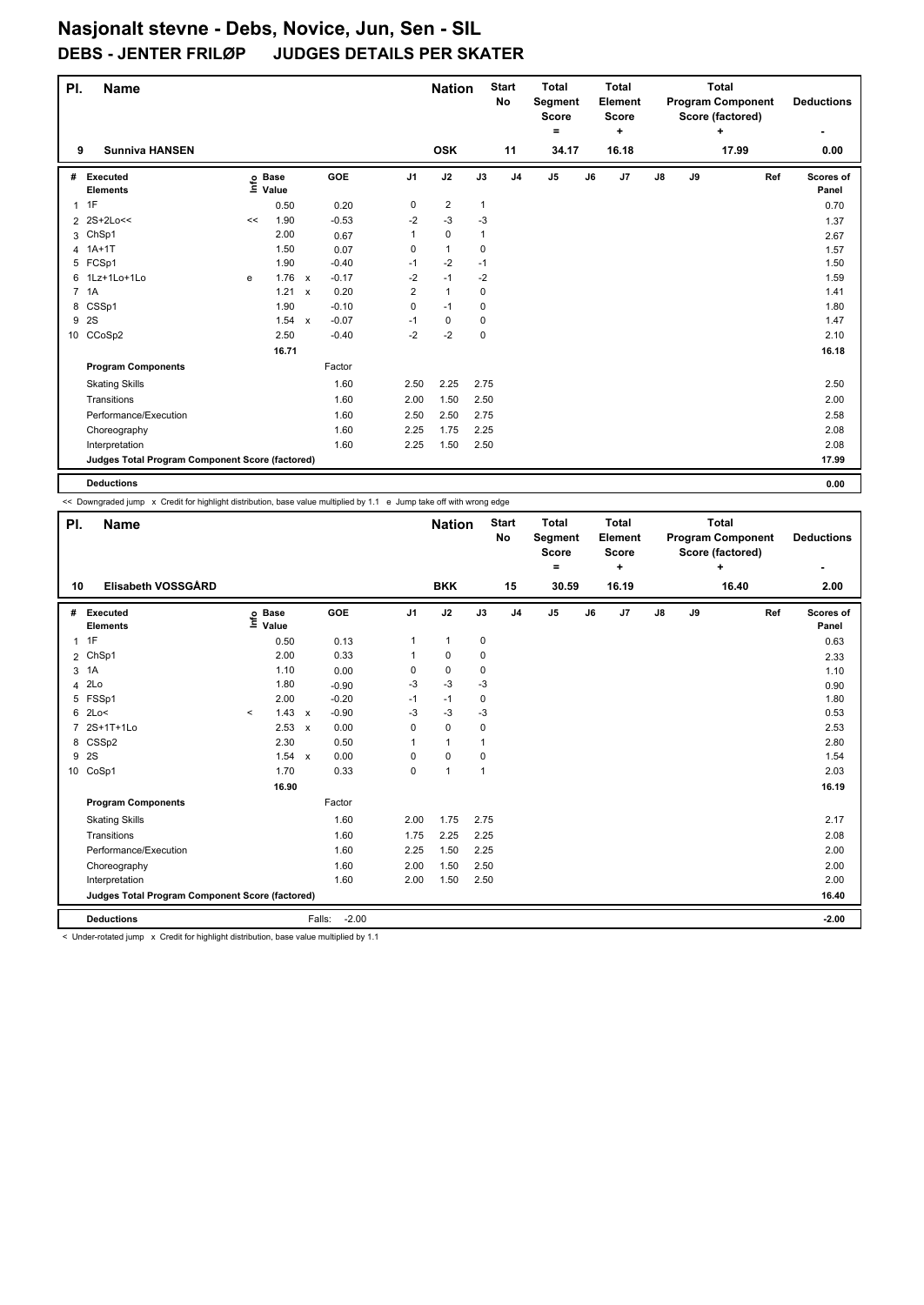| PI.            | <b>Name</b>                                     |    |                                  |              |            |                | <b>Nation</b>  |              | <b>Start</b><br>No | <b>Total</b><br>Segment<br>Score |    | <b>Total</b><br>Element<br><b>Score</b> |    |    | <b>Total</b><br><b>Program Component</b><br>Score (factored) | <b>Deductions</b>  |
|----------------|-------------------------------------------------|----|----------------------------------|--------------|------------|----------------|----------------|--------------|--------------------|----------------------------------|----|-----------------------------------------|----|----|--------------------------------------------------------------|--------------------|
|                |                                                 |    |                                  |              |            |                |                |              |                    | ۰                                |    | ÷                                       |    |    | ÷                                                            | ۰                  |
| 9              | <b>Sunniva HANSEN</b>                           |    |                                  |              |            |                | <b>OSK</b>     |              | 11                 | 34.17                            |    | 16.18                                   |    |    | 17.99                                                        | 0.00               |
| #              | Executed<br><b>Elements</b>                     |    | <b>Base</b><br>e Base<br>⊆ Value |              | <b>GOE</b> | J <sub>1</sub> | J2             | J3           | J <sub>4</sub>     | J <sub>5</sub>                   | J6 | J7                                      | J8 | J9 | Ref                                                          | Scores of<br>Panel |
| $\mathbf{1}$   | 1F                                              |    | 0.50                             |              | 0.20       | 0              | $\overline{c}$ | $\mathbf{1}$ |                    |                                  |    |                                         |    |    |                                                              | 0.70               |
|                | 2 2S+2Lo<<                                      | << | 1.90                             |              | $-0.53$    | $-2$           | $-3$           | $-3$         |                    |                                  |    |                                         |    |    |                                                              | 1.37               |
|                | 3 ChSp1                                         |    | 2.00                             |              | 0.67       | 1              | $\pmb{0}$      | 1            |                    |                                  |    |                                         |    |    |                                                              | 2.67               |
| 4              | $1A+1T$                                         |    | 1.50                             |              | 0.07       | 0              | $\mathbf{1}$   | 0            |                    |                                  |    |                                         |    |    |                                                              | 1.57               |
| 5              | FCSp1                                           |    | 1.90                             |              | $-0.40$    | $-1$           | $-2$           | $-1$         |                    |                                  |    |                                         |    |    |                                                              | 1.50               |
| 6              | 1Lz+1Lo+1Lo                                     | e  | 1.76                             | $\mathsf{x}$ | $-0.17$    | $-2$           | $-1$           | $-2$         |                    |                                  |    |                                         |    |    |                                                              | 1.59               |
| $\overline{7}$ | 1A                                              |    | 1.21 x                           |              | 0.20       | $\overline{2}$ | $\mathbf{1}$   | $\mathbf 0$  |                    |                                  |    |                                         |    |    |                                                              | 1.41               |
| 8              | CSSp1                                           |    | 1.90                             |              | $-0.10$    | 0              | $-1$           | 0            |                    |                                  |    |                                         |    |    |                                                              | 1.80               |
| 9              | 2S                                              |    | 1.54 x                           |              | $-0.07$    | $-1$           | 0              | 0            |                    |                                  |    |                                         |    |    |                                                              | 1.47               |
|                | 10 CCoSp2                                       |    | 2.50                             |              | $-0.40$    | $-2$           | $-2$           | $\mathbf 0$  |                    |                                  |    |                                         |    |    |                                                              | 2.10               |
|                |                                                 |    | 16.71                            |              |            |                |                |              |                    |                                  |    |                                         |    |    |                                                              | 16.18              |
|                | <b>Program Components</b>                       |    |                                  |              | Factor     |                |                |              |                    |                                  |    |                                         |    |    |                                                              |                    |
|                | <b>Skating Skills</b>                           |    |                                  |              | 1.60       | 2.50           | 2.25           | 2.75         |                    |                                  |    |                                         |    |    |                                                              | 2.50               |
|                | Transitions                                     |    |                                  |              | 1.60       | 2.00           | 1.50           | 2.50         |                    |                                  |    |                                         |    |    |                                                              | 2.00               |
|                | Performance/Execution                           |    |                                  |              | 1.60       | 2.50           | 2.50           | 2.75         |                    |                                  |    |                                         |    |    |                                                              | 2.58               |
|                | Choreography                                    |    |                                  |              | 1.60       | 2.25           | 1.75           | 2.25         |                    |                                  |    |                                         |    |    |                                                              | 2.08               |
|                | Interpretation                                  |    |                                  |              | 1.60       | 2.25           | 1.50           | 2.50         |                    |                                  |    |                                         |    |    |                                                              | 2.08               |
|                | Judges Total Program Component Score (factored) |    |                                  |              |            |                |                |              |                    |                                  |    |                                         |    |    |                                                              | 17.99              |
|                | <b>Deductions</b>                               |    |                                  |              |            |                |                |              |                    |                                  |    |                                         |    |    |                                                              | 0.00               |

<< Downgraded jump x Credit for highlight distribution, base value multiplied by 1.1 e Jump take off with wrong edge

| PI.            | <b>Name</b>                                     |         |                      |                           |                   |                | <b>Nation</b>  |                | <b>Start</b><br>No | <b>Total</b><br>Segment<br><b>Score</b><br>$\equiv$ |    | <b>Total</b><br>Element<br><b>Score</b><br>÷ |    |    | <b>Total</b><br><b>Program Component</b><br>Score (factored)<br>÷ |     | <b>Deductions</b>  |
|----------------|-------------------------------------------------|---------|----------------------|---------------------------|-------------------|----------------|----------------|----------------|--------------------|-----------------------------------------------------|----|----------------------------------------------|----|----|-------------------------------------------------------------------|-----|--------------------|
| 10             | Elisabeth VOSSGÅRD                              |         |                      |                           |                   |                | <b>BKK</b>     |                | 15                 | 30.59                                               |    | 16.19                                        |    |    | 16.40                                                             |     | 2.00               |
| #              | Executed<br><b>Elements</b>                     | Info    | <b>Base</b><br>Value |                           | GOE               | J <sub>1</sub> | J2             | J3             | J <sub>4</sub>     | J <sub>5</sub>                                      | J6 | J7                                           | J8 | J9 |                                                                   | Ref | Scores of<br>Panel |
| 1              | 1F                                              |         | 0.50                 |                           | 0.13              | 1              | $\mathbf{1}$   | $\mathbf 0$    |                    |                                                     |    |                                              |    |    |                                                                   |     | 0.63               |
| $\overline{2}$ | ChSp1                                           |         | 2.00                 |                           | 0.33              | 1              | 0              | 0              |                    |                                                     |    |                                              |    |    |                                                                   |     | 2.33               |
|                | 3 1A                                            |         | 1.10                 |                           | 0.00              | 0              | $\mathbf 0$    | 0              |                    |                                                     |    |                                              |    |    |                                                                   |     | 1.10               |
| 4              | 2Lo                                             |         | 1.80                 |                           | $-0.90$           | $-3$           | $-3$           | $-3$           |                    |                                                     |    |                                              |    |    |                                                                   |     | 0.90               |
| 5              | FSSp1                                           |         | 2.00                 |                           | $-0.20$           | $-1$           | $-1$           | 0              |                    |                                                     |    |                                              |    |    |                                                                   |     | 1.80               |
| 6              | 2Lo<                                            | $\prec$ | 1.43                 | $\mathbf{x}$              | $-0.90$           | $-3$           | $-3$           | $-3$           |                    |                                                     |    |                                              |    |    |                                                                   |     | 0.53               |
| 7              | 2S+1T+1Lo                                       |         | 2.53                 | $\boldsymbol{\mathsf{x}}$ | 0.00              | 0              | $\mathbf 0$    | $\mathbf 0$    |                    |                                                     |    |                                              |    |    |                                                                   |     | 2.53               |
| 8              | CSSp2                                           |         | 2.30                 |                           | 0.50              | $\mathbf 1$    | $\mathbf{1}$   | 1              |                    |                                                     |    |                                              |    |    |                                                                   |     | 2.80               |
| 9              | 2S                                              |         | 1.54                 | $\mathsf{x}$              | 0.00              | 0              | $\mathbf 0$    | 0              |                    |                                                     |    |                                              |    |    |                                                                   |     | 1.54               |
|                | 10 CoSp1                                        |         | 1.70                 |                           | 0.33              | 0              | $\overline{1}$ | $\overline{1}$ |                    |                                                     |    |                                              |    |    |                                                                   |     | 2.03               |
|                |                                                 |         | 16.90                |                           |                   |                |                |                |                    |                                                     |    |                                              |    |    |                                                                   |     | 16.19              |
|                | <b>Program Components</b>                       |         |                      |                           | Factor            |                |                |                |                    |                                                     |    |                                              |    |    |                                                                   |     |                    |
|                | <b>Skating Skills</b>                           |         |                      |                           | 1.60              | 2.00           | 1.75           | 2.75           |                    |                                                     |    |                                              |    |    |                                                                   |     | 2.17               |
|                | Transitions                                     |         |                      |                           | 1.60              | 1.75           | 2.25           | 2.25           |                    |                                                     |    |                                              |    |    |                                                                   |     | 2.08               |
|                | Performance/Execution                           |         |                      |                           | 1.60              | 2.25           | 1.50           | 2.25           |                    |                                                     |    |                                              |    |    |                                                                   |     | 2.00               |
|                | Choreography                                    |         |                      |                           | 1.60              | 2.00           | 1.50           | 2.50           |                    |                                                     |    |                                              |    |    |                                                                   |     | 2.00               |
|                | Interpretation                                  |         |                      |                           | 1.60              | 2.00           | 1.50           | 2.50           |                    |                                                     |    |                                              |    |    |                                                                   |     | 2.00               |
|                | Judges Total Program Component Score (factored) |         |                      |                           |                   |                |                |                |                    |                                                     |    |                                              |    |    |                                                                   |     | 16.40              |
|                | <b>Deductions</b>                               |         |                      |                           | $-2.00$<br>Falls: |                |                |                |                    |                                                     |    |                                              |    |    |                                                                   |     | $-2.00$            |

< Under-rotated jump x Credit for highlight distribution, base value multiplied by 1.1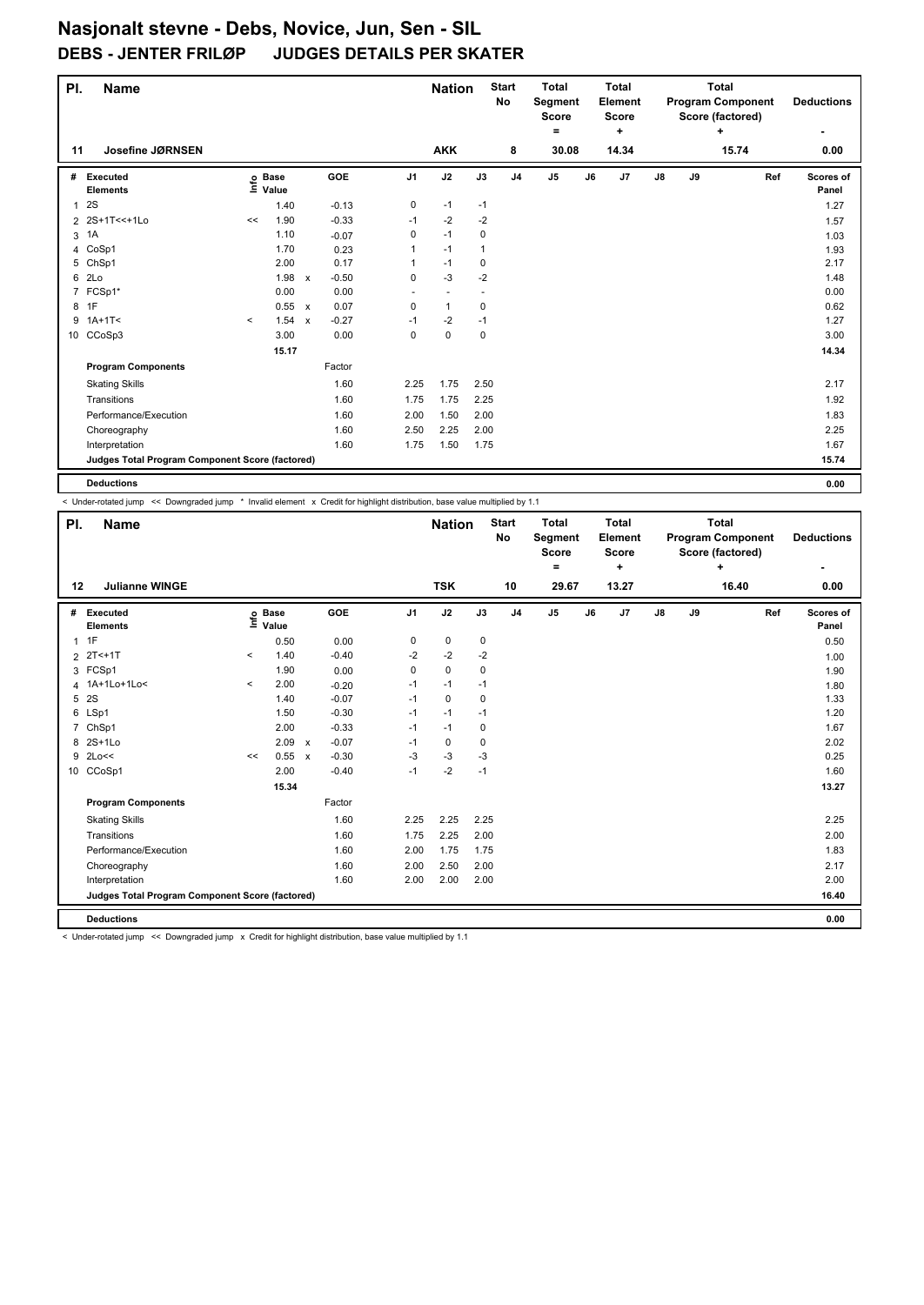| PI.          | <b>Name</b>                                     |         |                                  |              |         |                          | <b>Nation</b>            |              | <b>Start</b><br><b>No</b> | <b>Total</b><br>Segment<br><b>Score</b> |    | <b>Total</b><br>Element<br><b>Score</b> |               |    | <b>Total</b><br><b>Program Component</b><br>Score (factored) |     | <b>Deductions</b>  |
|--------------|-------------------------------------------------|---------|----------------------------------|--------------|---------|--------------------------|--------------------------|--------------|---------------------------|-----------------------------------------|----|-----------------------------------------|---------------|----|--------------------------------------------------------------|-----|--------------------|
|              |                                                 |         |                                  |              |         |                          |                          |              |                           | =                                       |    | $\ddot{}$                               |               |    | ÷                                                            |     | ۰                  |
| 11           | Josefine JØRNSEN                                |         |                                  |              |         |                          | <b>AKK</b>               |              | 8                         | 30.08                                   |    | 14.34                                   |               |    | 15.74                                                        |     | 0.00               |
| #            | Executed<br><b>Elements</b>                     |         | <b>Base</b><br>e Base<br>⊆ Value |              | GOE     | J <sub>1</sub>           | J2                       | J3           | J <sub>4</sub>            | J5                                      | J6 | J7                                      | $\mathsf{J}8$ | J9 |                                                              | Ref | Scores of<br>Panel |
| $\mathbf{1}$ | 2S                                              |         | 1.40                             |              | $-0.13$ | 0                        | $-1$                     | $-1$         |                           |                                         |    |                                         |               |    |                                                              |     | 1.27               |
|              | 2 2S+1T<<+1Lo                                   | <<      | 1.90                             |              | $-0.33$ | $-1$                     | $-2$                     | $-2$         |                           |                                         |    |                                         |               |    |                                                              |     | 1.57               |
| 3            | 1A                                              |         | 1.10                             |              | $-0.07$ | 0                        | $-1$                     | 0            |                           |                                         |    |                                         |               |    |                                                              |     | 1.03               |
| 4            | CoSp1                                           |         | 1.70                             |              | 0.23    | 1                        | $-1$                     | $\mathbf{1}$ |                           |                                         |    |                                         |               |    |                                                              |     | 1.93               |
| 5            | ChSp1                                           |         | 2.00                             |              | 0.17    | 1                        | $-1$                     | 0            |                           |                                         |    |                                         |               |    |                                                              |     | 2.17               |
| 6            | 2Lo                                             |         | 1.98                             | $\mathsf{x}$ | $-0.50$ | $\mathbf 0$              | $-3$                     | $-2$         |                           |                                         |    |                                         |               |    |                                                              |     | 1.48               |
|              | 7 FCSp1*                                        |         | 0.00                             |              | 0.00    | $\overline{\phantom{a}}$ | $\overline{\phantom{a}}$ |              |                           |                                         |    |                                         |               |    |                                                              |     | 0.00               |
| 8            | 1F                                              |         | 0.55 x                           |              | 0.07    | $\mathbf 0$              | $\mathbf{1}$             | 0            |                           |                                         |    |                                         |               |    |                                                              |     | 0.62               |
|              | $9$ 1A+1T<                                      | $\prec$ | 1.54                             | $\mathsf{x}$ | $-0.27$ | $-1$                     | -2                       | $-1$         |                           |                                         |    |                                         |               |    |                                                              |     | 1.27               |
|              | 10 CCoSp3                                       |         | 3.00                             |              | 0.00    | $\mathbf 0$              | $\mathbf 0$              | $\mathbf 0$  |                           |                                         |    |                                         |               |    |                                                              |     | 3.00               |
|              |                                                 |         | 15.17                            |              |         |                          |                          |              |                           |                                         |    |                                         |               |    |                                                              |     | 14.34              |
|              | <b>Program Components</b>                       |         |                                  |              | Factor  |                          |                          |              |                           |                                         |    |                                         |               |    |                                                              |     |                    |
|              | <b>Skating Skills</b>                           |         |                                  |              | 1.60    | 2.25                     | 1.75                     | 2.50         |                           |                                         |    |                                         |               |    |                                                              |     | 2.17               |
|              | Transitions                                     |         |                                  |              | 1.60    | 1.75                     | 1.75                     | 2.25         |                           |                                         |    |                                         |               |    |                                                              |     | 1.92               |
|              | Performance/Execution                           |         |                                  |              | 1.60    | 2.00                     | 1.50                     | 2.00         |                           |                                         |    |                                         |               |    |                                                              |     | 1.83               |
|              | Choreography                                    |         |                                  |              | 1.60    | 2.50                     | 2.25                     | 2.00         |                           |                                         |    |                                         |               |    |                                                              |     | 2.25               |
|              | Interpretation                                  |         |                                  |              | 1.60    | 1.75                     | 1.50                     | 1.75         |                           |                                         |    |                                         |               |    |                                                              |     | 1.67               |
|              | Judges Total Program Component Score (factored) |         |                                  |              |         |                          |                          |              |                           |                                         |    |                                         |               |    |                                                              |     | 15.74              |
|              | <b>Deductions</b>                               |         |                                  |              |         |                          |                          |              |                           |                                         |    |                                         |               |    |                                                              |     | 0.00               |

< Under-rotated jump << Downgraded jump \* Invalid element x Credit for highlight distribution, base value multiplied by 1.1

| PI.            | Name                                            |         |                           |                           |            |                | <b>Nation</b> |      | <b>Start</b><br>No | <b>Total</b><br>Segment<br>Score<br>۰ |    | <b>Total</b><br>Element<br><b>Score</b><br>٠ |    |    | <b>Total</b><br><b>Program Component</b><br>Score (factored)<br>÷ | <b>Deductions</b><br>۰ |
|----------------|-------------------------------------------------|---------|---------------------------|---------------------------|------------|----------------|---------------|------|--------------------|---------------------------------------|----|----------------------------------------------|----|----|-------------------------------------------------------------------|------------------------|
| 12             | <b>Julianne WINGE</b>                           |         |                           |                           |            |                | <b>TSK</b>    |      | 10                 | 29.67                                 |    | 13.27                                        |    |    | 16.40                                                             | 0.00                   |
| #              | Executed<br><b>Elements</b>                     |         | Base<br>e Base<br>E Value |                           | <b>GOE</b> | J <sub>1</sub> | J2            | J3   | J <sub>4</sub>     | J <sub>5</sub>                        | J6 | J7                                           | J8 | J9 | Ref                                                               | Scores of<br>Panel     |
| $\mathbf{1}$   | 1F                                              |         | 0.50                      |                           | 0.00       | 0              | 0             | 0    |                    |                                       |    |                                              |    |    |                                                                   | 0.50                   |
|                | $2 \t2T < +1T$                                  | $\prec$ | 1.40                      |                           | $-0.40$    | $-2$           | $-2$          | $-2$ |                    |                                       |    |                                              |    |    |                                                                   | 1.00                   |
|                | 3 FCSp1                                         |         | 1.90                      |                           | 0.00       | 0              | $\Omega$      | 0    |                    |                                       |    |                                              |    |    |                                                                   | 1.90                   |
|                | 4 1A+1Lo+1Lo<                                   | $\prec$ | 2.00                      |                           | $-0.20$    | $-1$           | $-1$          | $-1$ |                    |                                       |    |                                              |    |    |                                                                   | 1.80                   |
| 5              | 2S                                              |         | 1.40                      |                           | $-0.07$    | $-1$           | $\mathbf 0$   | 0    |                    |                                       |    |                                              |    |    |                                                                   | 1.33                   |
|                | 6 LSp1                                          |         | 1.50                      |                           | $-0.30$    | $-1$           | $-1$          | $-1$ |                    |                                       |    |                                              |    |    |                                                                   | 1.20                   |
| $\overline{7}$ | ChSp1                                           |         | 2.00                      |                           | $-0.33$    | $-1$           | $-1$          | 0    |                    |                                       |    |                                              |    |    |                                                                   | 1.67                   |
| 8              | $2S+1L0$                                        |         | 2.09                      | $\boldsymbol{\mathsf{x}}$ | $-0.07$    | $-1$           | 0             | 0    |                    |                                       |    |                                              |    |    |                                                                   | 2.02                   |
| 9              | 2Lo<<                                           | <<      | 0.55                      | $\boldsymbol{\mathsf{x}}$ | $-0.30$    | -3             | -3            | -3   |                    |                                       |    |                                              |    |    |                                                                   | 0.25                   |
| 10             | CCoSp1                                          |         | 2.00                      |                           | $-0.40$    | $-1$           | $-2$          | $-1$ |                    |                                       |    |                                              |    |    |                                                                   | 1.60                   |
|                |                                                 |         | 15.34                     |                           |            |                |               |      |                    |                                       |    |                                              |    |    |                                                                   | 13.27                  |
|                | <b>Program Components</b>                       |         |                           |                           | Factor     |                |               |      |                    |                                       |    |                                              |    |    |                                                                   |                        |
|                | <b>Skating Skills</b>                           |         |                           |                           | 1.60       | 2.25           | 2.25          | 2.25 |                    |                                       |    |                                              |    |    |                                                                   | 2.25                   |
|                | Transitions                                     |         |                           |                           | 1.60       | 1.75           | 2.25          | 2.00 |                    |                                       |    |                                              |    |    |                                                                   | 2.00                   |
|                | Performance/Execution                           |         |                           |                           | 1.60       | 2.00           | 1.75          | 1.75 |                    |                                       |    |                                              |    |    |                                                                   | 1.83                   |
|                | Choreography                                    |         |                           |                           | 1.60       | 2.00           | 2.50          | 2.00 |                    |                                       |    |                                              |    |    |                                                                   | 2.17                   |
|                | Interpretation                                  |         |                           |                           | 1.60       | 2.00           | 2.00          | 2.00 |                    |                                       |    |                                              |    |    |                                                                   | 2.00                   |
|                | Judges Total Program Component Score (factored) |         |                           |                           |            |                |               |      |                    |                                       |    |                                              |    |    |                                                                   | 16.40                  |
|                | <b>Deductions</b>                               |         |                           |                           |            |                |               |      |                    |                                       |    |                                              |    |    |                                                                   | 0.00                   |

< Under-rotated jump << Downgraded jump x Credit for highlight distribution, base value multiplied by 1.1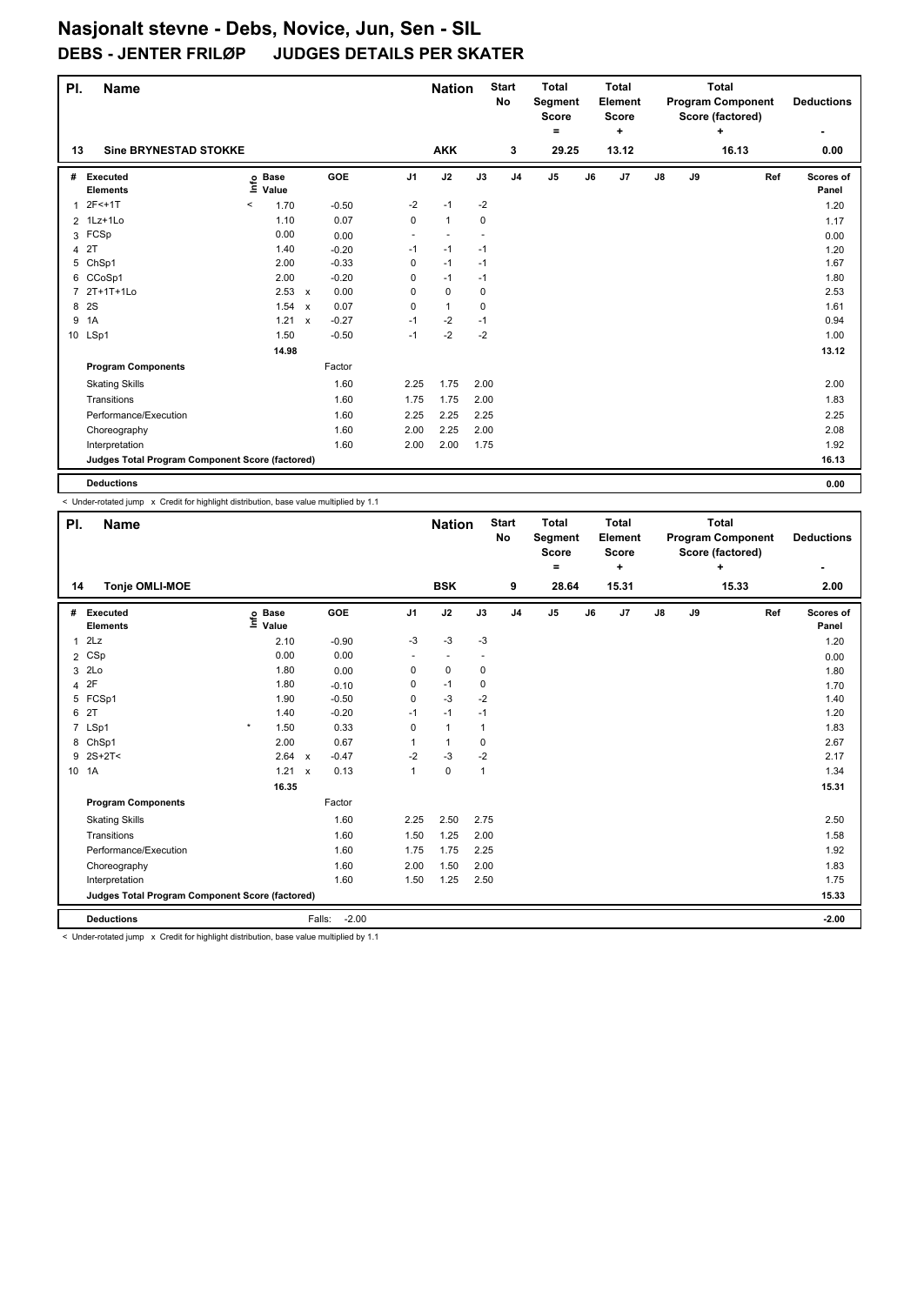| PI.            | <b>Name</b>                                     |                                  |              | <b>Nation</b> |                | <b>Start</b><br><b>No</b> | <b>Total</b><br>Segment<br><b>Score</b> |                | <b>Total</b><br>Element<br><b>Score</b> |    |           | <b>Total</b><br><b>Program Component</b><br>Score (factored) |    | <b>Deductions</b> |     |                    |
|----------------|-------------------------------------------------|----------------------------------|--------------|---------------|----------------|---------------------------|-----------------------------------------|----------------|-----------------------------------------|----|-----------|--------------------------------------------------------------|----|-------------------|-----|--------------------|
|                |                                                 |                                  |              |               |                |                           |                                         |                | =                                       |    | $\ddot{}$ |                                                              |    | ÷                 |     | ۰                  |
| 13             | <b>Sine BRYNESTAD STOKKE</b>                    |                                  |              |               |                | <b>AKK</b>                |                                         | 3              | 29.25                                   |    | 13.12     |                                                              |    | 16.13             |     | 0.00               |
| #              | Executed<br><b>Elements</b>                     | <b>Base</b><br>e Base<br>⊆ Value |              | GOE           | J <sub>1</sub> | J2                        | J3                                      | J <sub>4</sub> | J5                                      | J6 | J7        | $\mathsf{J}8$                                                | J9 |                   | Ref | Scores of<br>Panel |
| $\mathbf{1}$   | 2F<+1T                                          | $\hat{}$<br>1.70                 |              | $-0.50$       | $-2$           | $-1$                      | $-2$                                    |                |                                         |    |           |                                                              |    |                   |     | 1.20               |
|                | 2 1Lz+1Lo                                       | 1.10                             |              | 0.07          | $\mathbf 0$    | $\mathbf{1}$              | $\mathbf 0$                             |                |                                         |    |           |                                                              |    |                   |     | 1.17               |
|                | 3 FCSp                                          | 0.00                             |              | 0.00          | ٠              | $\overline{a}$            |                                         |                |                                         |    |           |                                                              |    |                   |     | 0.00               |
| 4              | 2T                                              | 1.40                             |              | $-0.20$       | $-1$           | $-1$                      | $-1$                                    |                |                                         |    |           |                                                              |    |                   |     | 1.20               |
| 5              | ChSp1                                           | 2.00                             |              | $-0.33$       | 0              | $-1$                      | $-1$                                    |                |                                         |    |           |                                                              |    |                   |     | 1.67               |
|                | 6 CCoSp1                                        | 2.00                             |              | $-0.20$       | 0              | $-1$                      | $-1$                                    |                |                                         |    |           |                                                              |    |                   |     | 1.80               |
| $\overline{7}$ | 2T+1T+1Lo                                       | 2.53 x                           |              | 0.00          | 0              | $\mathbf 0$               | $\mathbf 0$                             |                |                                         |    |           |                                                              |    |                   |     | 2.53               |
| 8              | 2S                                              | 1.54                             | $\mathsf{x}$ | 0.07          | 0              | $\mathbf{1}$              | $\mathbf 0$                             |                |                                         |    |           |                                                              |    |                   |     | 1.61               |
| 9              | 1A                                              | 1.21                             | $\mathsf{x}$ | $-0.27$       | $-1$           | -2                        | $-1$                                    |                |                                         |    |           |                                                              |    |                   |     | 0.94               |
|                | 10 LSp1                                         | 1.50                             |              | $-0.50$       | $-1$           | $-2$                      | $-2$                                    |                |                                         |    |           |                                                              |    |                   |     | 1.00               |
|                |                                                 | 14.98                            |              |               |                |                           |                                         |                |                                         |    |           |                                                              |    |                   |     | 13.12              |
|                | <b>Program Components</b>                       |                                  |              | Factor        |                |                           |                                         |                |                                         |    |           |                                                              |    |                   |     |                    |
|                | <b>Skating Skills</b>                           |                                  |              | 1.60          | 2.25           | 1.75                      | 2.00                                    |                |                                         |    |           |                                                              |    |                   |     | 2.00               |
|                | Transitions                                     |                                  |              | 1.60          | 1.75           | 1.75                      | 2.00                                    |                |                                         |    |           |                                                              |    |                   |     | 1.83               |
|                | Performance/Execution                           |                                  |              | 1.60          | 2.25           | 2.25                      | 2.25                                    |                |                                         |    |           |                                                              |    |                   |     | 2.25               |
|                | Choreography                                    |                                  |              | 1.60          | 2.00           | 2.25                      | 2.00                                    |                |                                         |    |           |                                                              |    |                   |     | 2.08               |
|                | Interpretation                                  |                                  |              | 1.60          | 2.00           | 2.00                      | 1.75                                    |                |                                         |    |           |                                                              |    |                   |     | 1.92               |
|                | Judges Total Program Component Score (factored) |                                  |              |               |                |                           |                                         |                |                                         |    |           |                                                              |    |                   |     | 16.13              |
|                | <b>Deductions</b>                               |                                  |              |               |                |                           |                                         |                |                                         |    |           |                                                              |    |                   |     | 0.00               |

 $\sim$  Under-rotated jump  $\times$  Credit for highlight distribution, base value multiplied by 1.1

| PI.            | <b>Name</b>                                     |                              |              | <b>Nation</b> |                | <b>Start</b><br><b>No</b> | <b>Total</b><br>Segment<br><b>Score</b> |                | <b>Total</b><br><b>Element</b><br><b>Score</b> |    |       | <b>Total</b><br><b>Program Component</b><br>Score (factored) |    | <b>Deductions</b> |     |                    |
|----------------|-------------------------------------------------|------------------------------|--------------|---------------|----------------|---------------------------|-----------------------------------------|----------------|------------------------------------------------|----|-------|--------------------------------------------------------------|----|-------------------|-----|--------------------|
|                |                                                 |                              |              |               |                |                           |                                         |                | ۰                                              |    | ÷     |                                                              |    | ÷                 |     | ٠                  |
| 14             | <b>Tonje OMLI-MOE</b>                           |                              |              |               |                | <b>BSK</b>                |                                         | 9              | 28.64                                          |    | 15.31 |                                                              |    | 15.33             |     | 2.00               |
| #              | Executed<br><b>Elements</b>                     | <b>Base</b><br>١mfo<br>Value |              | GOE           | J <sub>1</sub> | J2                        | J3                                      | J <sub>4</sub> | $\mathsf{J}5$                                  | J6 | J7    | $\mathsf{J}8$                                                | J9 |                   | Ref | Scores of<br>Panel |
| 1              | 2Lz                                             | 2.10                         |              | $-0.90$       | $-3$           | $-3$                      | $-3$                                    |                |                                                |    |       |                                                              |    |                   |     | 1.20               |
| $\overline{2}$ | CSp                                             | 0.00                         |              | 0.00          |                |                           |                                         |                |                                                |    |       |                                                              |    |                   |     | 0.00               |
| 3              | 2Lo                                             | 1.80                         |              | 0.00          | $\mathbf 0$    | $\mathbf 0$               | $\mathbf 0$                             |                |                                                |    |       |                                                              |    |                   |     | 1.80               |
| 4              | 2F                                              | 1.80                         |              | $-0.10$       | 0              | $-1$                      | 0                                       |                |                                                |    |       |                                                              |    |                   |     | 1.70               |
|                | 5 FCSp1                                         | 1.90                         |              | $-0.50$       | 0              | $-3$                      | $-2$                                    |                |                                                |    |       |                                                              |    |                   |     | 1.40               |
| 6              | 2T                                              | 1.40                         |              | $-0.20$       | $-1$           | $-1$                      | $-1$                                    |                |                                                |    |       |                                                              |    |                   |     | 1.20               |
|                | 7 LSp1                                          | $\star$<br>1.50              |              | 0.33          | 0              | $\mathbf{1}$              | 1                                       |                |                                                |    |       |                                                              |    |                   |     | 1.83               |
|                | 8 ChSp1                                         | 2.00                         |              | 0.67          |                | $\mathbf{1}$              | 0                                       |                |                                                |    |       |                                                              |    |                   |     | 2.67               |
|                | $9.2S+2T<$                                      | 2.64                         | $\mathbf{x}$ | $-0.47$       | -2             | $-3$                      | $-2$                                    |                |                                                |    |       |                                                              |    |                   |     | 2.17               |
| 10 1A          |                                                 | 1.21                         | $\mathsf{x}$ | 0.13          | 1              | $\pmb{0}$                 | $\mathbf{1}$                            |                |                                                |    |       |                                                              |    |                   |     | 1.34               |
|                |                                                 | 16.35                        |              |               |                |                           |                                         |                |                                                |    |       |                                                              |    |                   |     | 15.31              |
|                | <b>Program Components</b>                       |                              |              | Factor        |                |                           |                                         |                |                                                |    |       |                                                              |    |                   |     |                    |
|                | <b>Skating Skills</b>                           |                              |              | 1.60          | 2.25           | 2.50                      | 2.75                                    |                |                                                |    |       |                                                              |    |                   |     | 2.50               |
|                | Transitions                                     |                              |              | 1.60          | 1.50           | 1.25                      | 2.00                                    |                |                                                |    |       |                                                              |    |                   |     | 1.58               |
|                | Performance/Execution                           |                              |              | 1.60          | 1.75           | 1.75                      | 2.25                                    |                |                                                |    |       |                                                              |    |                   |     | 1.92               |
|                | Choreography                                    |                              |              | 1.60          | 2.00           | 1.50                      | 2.00                                    |                |                                                |    |       |                                                              |    |                   |     | 1.83               |
|                | Interpretation                                  |                              |              | 1.60          | 1.50           | 1.25                      | 2.50                                    |                |                                                |    |       |                                                              |    |                   |     | 1.75               |
|                | Judges Total Program Component Score (factored) |                              |              |               |                |                           |                                         |                |                                                |    |       |                                                              |    |                   |     | 15.33              |
|                | <b>Deductions</b><br>.                          |                              | Falls:       | $-2.00$       |                |                           |                                         |                |                                                |    |       |                                                              |    |                   |     | $-2.00$            |

 $<$  Under-rotated jump  $\times$  Credit for highlight distribution, base value multiplied by 1.1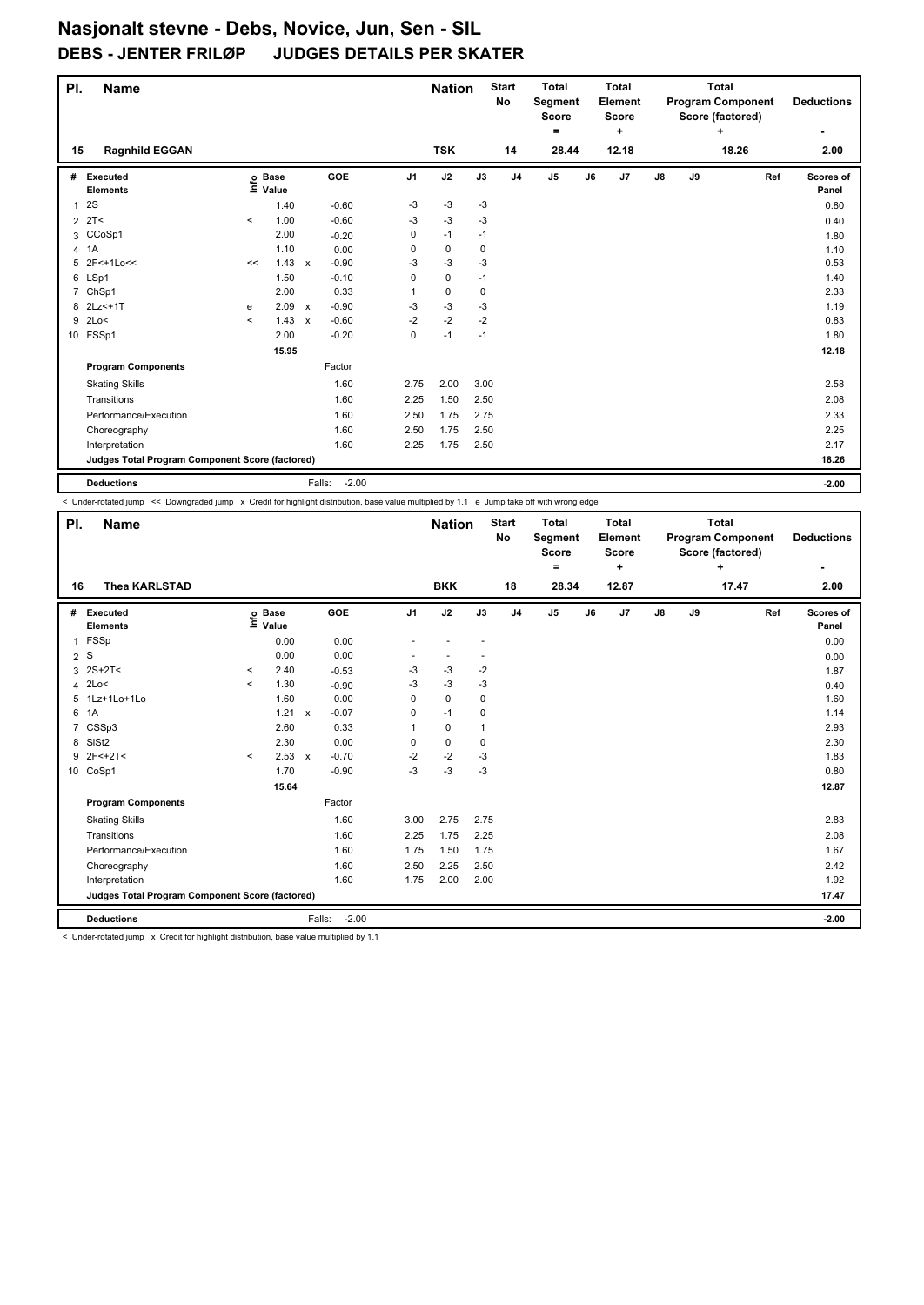| PI.            | <b>Name</b>                                     |         |                   |                                      | <b>Nation</b>  |             | <b>Start</b><br><b>No</b> | <b>Total</b><br>Segment<br><b>Score</b> |                | <b>Total</b><br><b>Element</b><br><b>Score</b> |       |               | <b>Total</b><br><b>Program Component</b><br>Score (factored) |       | <b>Deductions</b> |                    |
|----------------|-------------------------------------------------|---------|-------------------|--------------------------------------|----------------|-------------|---------------------------|-----------------------------------------|----------------|------------------------------------------------|-------|---------------|--------------------------------------------------------------|-------|-------------------|--------------------|
|                |                                                 |         |                   |                                      |                |             |                           |                                         | $=$            |                                                | ٠     |               |                                                              | ÷     |                   | ۰                  |
| 15             | <b>Ragnhild EGGAN</b>                           |         |                   |                                      |                | <b>TSK</b>  |                           | 14                                      | 28.44          |                                                | 12.18 |               |                                                              | 18.26 |                   | 2.00               |
| #              | <b>Executed</b><br><b>Elements</b>              |         | e Base<br>⊆ Value | <b>GOE</b>                           | J <sub>1</sub> | J2          | J3                        | J <sub>4</sub>                          | J <sub>5</sub> | J6                                             | J7    | $\mathsf{J}8$ | J9                                                           |       | Ref               | Scores of<br>Panel |
| 1              | 2S                                              |         | 1.40              | $-0.60$                              | -3             | -3          | -3                        |                                         |                |                                                |       |               |                                                              |       |                   | 0.80               |
| $\overline{2}$ | 2T<                                             | $\prec$ | 1.00              | $-0.60$                              | $-3$           | $-3$        | $-3$                      |                                         |                |                                                |       |               |                                                              |       |                   | 0.40               |
|                | 3 CCoSp1                                        |         | 2.00              | $-0.20$                              | 0              | $-1$        | $-1$                      |                                         |                |                                                |       |               |                                                              |       |                   | 1.80               |
| $\overline{4}$ | 1A                                              |         | 1.10              | 0.00                                 | 0              | 0           | 0                         |                                         |                |                                                |       |               |                                                              |       |                   | 1.10               |
| 5              | 2F<+1Lo<<                                       | <<      | 1.43              | $-0.90$<br>$\boldsymbol{\mathsf{x}}$ | -3             | $-3$        | $-3$                      |                                         |                |                                                |       |               |                                                              |       |                   | 0.53               |
|                | 6 LSp1                                          |         | 1.50              | $-0.10$                              | $\Omega$       | 0           | $-1$                      |                                         |                |                                                |       |               |                                                              |       |                   | 1.40               |
|                | 7 ChSp1                                         |         | 2.00              | 0.33                                 | 1              | $\mathbf 0$ | 0                         |                                         |                |                                                |       |               |                                                              |       |                   | 2.33               |
| 8              | 2Lz < + 1T                                      | e       | 2.09              | $-0.90$<br>$\mathsf{x}$              | $-3$           | $-3$        | $-3$                      |                                         |                |                                                |       |               |                                                              |       |                   | 1.19               |
| 9              | 2Lo<                                            | $\prec$ | $1.43 \times$     | $-0.60$                              | -2             | $-2$        | $-2$                      |                                         |                |                                                |       |               |                                                              |       |                   | 0.83               |
|                | 10 FSSp1                                        |         | 2.00              | $-0.20$                              | 0              | $-1$        | $-1$                      |                                         |                |                                                |       |               |                                                              |       |                   | 1.80               |
|                |                                                 |         | 15.95             |                                      |                |             |                           |                                         |                |                                                |       |               |                                                              |       |                   | 12.18              |
|                | <b>Program Components</b>                       |         |                   | Factor                               |                |             |                           |                                         |                |                                                |       |               |                                                              |       |                   |                    |
|                | <b>Skating Skills</b>                           |         |                   | 1.60                                 | 2.75           | 2.00        | 3.00                      |                                         |                |                                                |       |               |                                                              |       |                   | 2.58               |
|                | Transitions                                     |         |                   | 1.60                                 | 2.25           | 1.50        | 2.50                      |                                         |                |                                                |       |               |                                                              |       |                   | 2.08               |
|                | Performance/Execution                           |         |                   | 1.60                                 | 2.50           | 1.75        | 2.75                      |                                         |                |                                                |       |               |                                                              |       |                   | 2.33               |
|                | Choreography                                    |         |                   | 1.60                                 | 2.50           | 1.75        | 2.50                      |                                         |                |                                                |       |               |                                                              |       |                   | 2.25               |
|                | Interpretation                                  |         |                   | 1.60                                 | 2.25           | 1.75        | 2.50                      |                                         |                |                                                |       |               |                                                              |       |                   | 2.17               |
|                | Judges Total Program Component Score (factored) |         |                   |                                      |                |             |                           |                                         |                |                                                |       |               |                                                              |       |                   | 18.26              |
|                | <b>Deductions</b>                               |         |                   | $-2.00$<br>Falls:                    |                |             |                           |                                         |                |                                                |       |               |                                                              |       |                   | $-2.00$            |

< Under-rotated jump << Downgraded jump x Credit for highlight distribution, base value multiplied by 1.1 e Jump take off with wrong edge

| PI.            | <b>Name</b>                                     |         |                      |              |                   |                | <b>Nation</b> |              | <b>Start</b><br>No | <b>Total</b><br>Segment<br>Score<br>= |    | <b>Total</b><br>Element<br><b>Score</b><br>÷ |               |    | <b>Total</b><br><b>Program Component</b><br>Score (factored)<br>÷ |     | <b>Deductions</b><br>۰ |
|----------------|-------------------------------------------------|---------|----------------------|--------------|-------------------|----------------|---------------|--------------|--------------------|---------------------------------------|----|----------------------------------------------|---------------|----|-------------------------------------------------------------------|-----|------------------------|
| 16             | <b>Thea KARLSTAD</b>                            |         |                      |              |                   |                | <b>BKK</b>    |              | 18                 | 28.34                                 |    | 12.87                                        |               |    | 17.47                                                             |     | 2.00                   |
| #              | Executed<br><b>Elements</b>                     | ١m      | <b>Base</b><br>Value |              | <b>GOE</b>        | J <sub>1</sub> | J2            | J3           | J <sub>4</sub>     | J <sub>5</sub>                        | J6 | J <sub>7</sub>                               | $\mathsf{J}8$ | J9 |                                                                   | Ref | Scores of<br>Panel     |
| 1              | FSSp                                            |         | 0.00                 |              | 0.00              |                |               |              |                    |                                       |    |                                              |               |    |                                                                   |     | 0.00                   |
| $\overline{2}$ | S                                               |         | 0.00                 |              | 0.00              |                |               |              |                    |                                       |    |                                              |               |    |                                                                   |     | 0.00                   |
|                | $3 \ 2S+2T <$                                   | $\prec$ | 2.40                 |              | $-0.53$           | -3             | $-3$          | $-2$         |                    |                                       |    |                                              |               |    |                                                                   |     | 1.87                   |
|                | 4 2Lo<                                          | $\prec$ | 1.30                 |              | $-0.90$           | -3             | $-3$          | $-3$         |                    |                                       |    |                                              |               |    |                                                                   |     | 0.40                   |
| 5              | $1Lz+1Lo+1Lo$                                   |         | 1.60                 |              | 0.00              | $\Omega$       | $\Omega$      | 0            |                    |                                       |    |                                              |               |    |                                                                   |     | 1.60                   |
| 6              | 1A                                              |         | 1.21                 | $\mathsf{x}$ | $-0.07$           | 0              | $-1$          | 0            |                    |                                       |    |                                              |               |    |                                                                   |     | 1.14                   |
| $\overline{7}$ | CSSp3                                           |         | 2.60                 |              | 0.33              | 1              | $\mathbf 0$   | $\mathbf{1}$ |                    |                                       |    |                                              |               |    |                                                                   |     | 2.93                   |
| 8              | SISt <sub>2</sub>                               |         | 2.30                 |              | 0.00              | 0              | $\mathbf 0$   | $\mathbf 0$  |                    |                                       |    |                                              |               |    |                                                                   |     | 2.30                   |
| 9              | $2F<+2T<$                                       | $\prec$ | 2.53                 | $\mathsf{x}$ | $-0.70$           | $-2$           | $-2$          | $-3$         |                    |                                       |    |                                              |               |    |                                                                   |     | 1.83                   |
|                | 10 CoSp1                                        |         | 1.70                 |              | $-0.90$           | $-3$           | $-3$          | $-3$         |                    |                                       |    |                                              |               |    |                                                                   |     | 0.80                   |
|                |                                                 |         | 15.64                |              |                   |                |               |              |                    |                                       |    |                                              |               |    |                                                                   |     | 12.87                  |
|                | <b>Program Components</b>                       |         |                      |              | Factor            |                |               |              |                    |                                       |    |                                              |               |    |                                                                   |     |                        |
|                | <b>Skating Skills</b>                           |         |                      |              | 1.60              | 3.00           | 2.75          | 2.75         |                    |                                       |    |                                              |               |    |                                                                   |     | 2.83                   |
|                | Transitions                                     |         |                      |              | 1.60              | 2.25           | 1.75          | 2.25         |                    |                                       |    |                                              |               |    |                                                                   |     | 2.08                   |
|                | Performance/Execution                           |         |                      |              | 1.60              | 1.75           | 1.50          | 1.75         |                    |                                       |    |                                              |               |    |                                                                   |     | 1.67                   |
|                | Choreography                                    |         |                      |              | 1.60              | 2.50           | 2.25          | 2.50         |                    |                                       |    |                                              |               |    |                                                                   |     | 2.42                   |
|                | Interpretation                                  |         |                      |              | 1.60              | 1.75           | 2.00          | 2.00         |                    |                                       |    |                                              |               |    |                                                                   |     | 1.92                   |
|                | Judges Total Program Component Score (factored) |         |                      |              |                   |                |               |              |                    |                                       |    |                                              |               |    |                                                                   |     | 17.47                  |
|                | <b>Deductions</b>                               |         |                      |              | $-2.00$<br>Falls: |                |               |              |                    |                                       |    |                                              |               |    |                                                                   |     | $-2.00$                |

< Under-rotated jump x Credit for highlight distribution, base value multiplied by 1.1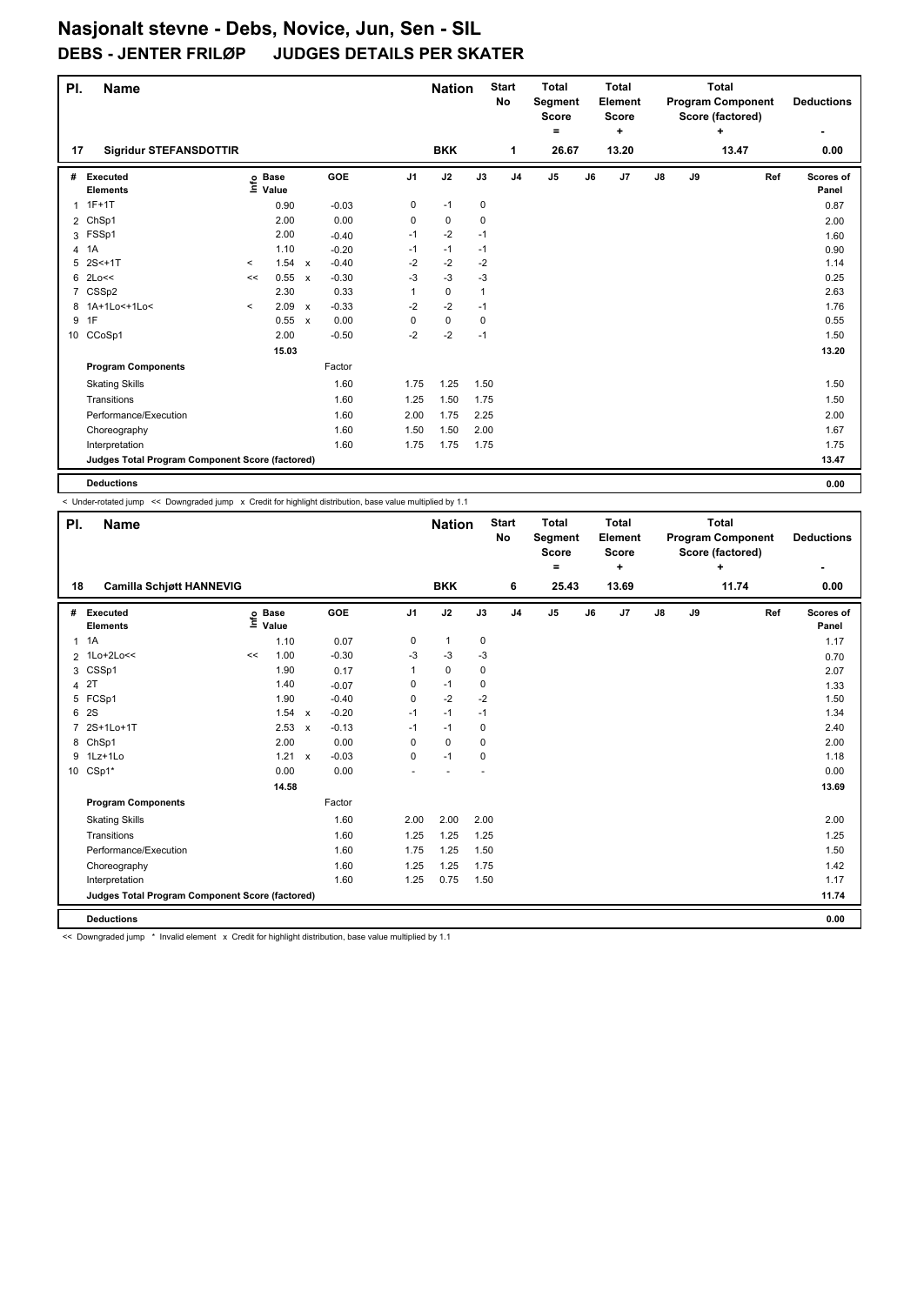| PI.            | <b>Name</b>                                     |         |                                  |                           |            |                | <b>Nation</b> |             | <b>Start</b><br>No | <b>Total</b><br>Segment<br>Score |    | <b>Total</b><br>Element<br><b>Score</b> |    | <b>Total</b><br><b>Program Component</b><br>Score (factored) | <b>Deductions</b> |     |                    |
|----------------|-------------------------------------------------|---------|----------------------------------|---------------------------|------------|----------------|---------------|-------------|--------------------|----------------------------------|----|-----------------------------------------|----|--------------------------------------------------------------|-------------------|-----|--------------------|
|                |                                                 |         |                                  |                           |            |                |               |             |                    | ۰                                |    | ÷                                       |    |                                                              | ÷                 |     | ۰                  |
| 17             | <b>Sigridur STEFANSDOTTIR</b>                   |         |                                  |                           |            |                | <b>BKK</b>    |             | 1                  | 26.67                            |    | 13.20                                   |    |                                                              | 13.47             |     | 0.00               |
| #              | Executed<br><b>Elements</b>                     |         | <b>Base</b><br>e Base<br>⊆ Value |                           | <b>GOE</b> | J <sub>1</sub> | J2            | J3          | J <sub>4</sub>     | J <sub>5</sub>                   | J6 | J7                                      | J8 | J9                                                           |                   | Ref | Scores of<br>Panel |
| 1              | $1F+1T$                                         |         | 0.90                             |                           | $-0.03$    | 0              | $-1$          | 0           |                    |                                  |    |                                         |    |                                                              |                   |     | 0.87               |
| $\overline{2}$ | ChSp1                                           |         | 2.00                             |                           | 0.00       | 0              | $\mathbf 0$   | $\mathbf 0$ |                    |                                  |    |                                         |    |                                                              |                   |     | 2.00               |
|                | 3 FSSp1                                         |         | 2.00                             |                           | $-0.40$    | $-1$           | $-2$          | $-1$        |                    |                                  |    |                                         |    |                                                              |                   |     | 1.60               |
| 4              | 1A                                              |         | 1.10                             |                           | $-0.20$    | $-1$           | $-1$          | $-1$        |                    |                                  |    |                                         |    |                                                              |                   |     | 0.90               |
| 5              | $2S<+1T$                                        | $\,<\,$ | 1.54 x                           |                           | $-0.40$    | $-2$           | $-2$          | $-2$        |                    |                                  |    |                                         |    |                                                              |                   |     | 1.14               |
| 6              | 2Lo<<                                           | <<      | 0.55                             | $\boldsymbol{\mathsf{x}}$ | $-0.30$    | $-3$           | $-3$          | $-3$        |                    |                                  |    |                                         |    |                                                              |                   |     | 0.25               |
| $\overline{7}$ | CSSp2                                           |         | 2.30                             |                           | 0.33       | 1              | $\mathbf 0$   | 1           |                    |                                  |    |                                         |    |                                                              |                   |     | 2.63               |
| 8              | 1A+1Lo<+1Lo<                                    | $\prec$ | 2.09                             | $\mathsf{x}$              | $-0.33$    | $-2$           | $-2$          | $-1$        |                    |                                  |    |                                         |    |                                                              |                   |     | 1.76               |
| 9              | 1F                                              |         | 0.55                             | $\mathsf{x}$              | 0.00       | 0              | $\pmb{0}$     | 0           |                    |                                  |    |                                         |    |                                                              |                   |     | 0.55               |
|                | 10 CCoSp1                                       |         | 2.00                             |                           | $-0.50$    | $-2$           | $-2$          | $-1$        |                    |                                  |    |                                         |    |                                                              |                   |     | 1.50               |
|                |                                                 |         | 15.03                            |                           |            |                |               |             |                    |                                  |    |                                         |    |                                                              |                   |     | 13.20              |
|                | <b>Program Components</b>                       |         |                                  |                           | Factor     |                |               |             |                    |                                  |    |                                         |    |                                                              |                   |     |                    |
|                | <b>Skating Skills</b>                           |         |                                  |                           | 1.60       | 1.75           | 1.25          | 1.50        |                    |                                  |    |                                         |    |                                                              |                   |     | 1.50               |
|                | Transitions                                     |         |                                  |                           | 1.60       | 1.25           | 1.50          | 1.75        |                    |                                  |    |                                         |    |                                                              |                   |     | 1.50               |
|                | Performance/Execution                           |         |                                  |                           | 1.60       | 2.00           | 1.75          | 2.25        |                    |                                  |    |                                         |    |                                                              |                   |     | 2.00               |
|                | Choreography                                    |         |                                  |                           | 1.60       | 1.50           | 1.50          | 2.00        |                    |                                  |    |                                         |    |                                                              |                   |     | 1.67               |
|                | Interpretation                                  |         |                                  |                           | 1.60       | 1.75           | 1.75          | 1.75        |                    |                                  |    |                                         |    |                                                              |                   |     | 1.75               |
|                | Judges Total Program Component Score (factored) |         |                                  |                           |            |                |               |             |                    |                                  |    |                                         |    |                                                              |                   |     | 13.47              |
|                | <b>Deductions</b>                               |         |                                  |                           |            |                |               |             |                    |                                  |    |                                         |    |                                                              |                   |     | 0.00               |

< Under-rotated jump << Downgraded jump x Credit for highlight distribution, base value multiplied by 1.1

| PI.          | <b>Name</b>                                     |      |                      |              |         |                | <b>Nation</b> |             | <b>Start</b><br><b>No</b> | <b>Total</b><br>Segment<br><b>Score</b><br>۰ |    | <b>Total</b><br>Element<br><b>Score</b><br>٠ |               |    | Total<br><b>Program Component</b><br>Score (factored)<br>٠ |     | <b>Deductions</b><br>۰ |
|--------------|-------------------------------------------------|------|----------------------|--------------|---------|----------------|---------------|-------------|---------------------------|----------------------------------------------|----|----------------------------------------------|---------------|----|------------------------------------------------------------|-----|------------------------|
| 18           | <b>Camilla Schjøtt HANNEVIG</b>                 |      |                      |              |         |                | <b>BKK</b>    |             | 6                         | 25.43                                        |    | 13.69                                        |               |    | 11.74                                                      |     | 0.00                   |
| #            | Executed<br><b>Elements</b>                     | ١mfo | <b>Base</b><br>Value |              | GOE     | J <sub>1</sub> | J2            | J3          | J <sub>4</sub>            | $\mathsf{J}5$                                | J6 | J7                                           | $\mathsf{J}8$ | J9 |                                                            | Ref | Scores of<br>Panel     |
| $\mathbf{1}$ | 1A                                              |      | 1.10                 |              | 0.07    | 0              | $\mathbf{1}$  | $\mathbf 0$ |                           |                                              |    |                                              |               |    |                                                            |     | 1.17                   |
|              | 2 1Lo+2Lo<<                                     | <<   | 1.00                 |              | $-0.30$ | $-3$           | $-3$          | $-3$        |                           |                                              |    |                                              |               |    |                                                            |     | 0.70                   |
|              | 3 CSSp1                                         |      | 1.90                 |              | 0.17    | 1              | $\mathbf 0$   | 0           |                           |                                              |    |                                              |               |    |                                                            |     | 2.07                   |
| 4            | 2T                                              |      | 1.40                 |              | $-0.07$ | 0              | $-1$          | 0           |                           |                                              |    |                                              |               |    |                                                            |     | 1.33                   |
| 5            | FCSp1                                           |      | 1.90                 |              | $-0.40$ | 0              | $-2$          | $-2$        |                           |                                              |    |                                              |               |    |                                                            |     | 1.50                   |
| 6            | 2S                                              |      | 1.54                 | $\mathsf{x}$ | $-0.20$ | $-1$           | $-1$          | $-1$        |                           |                                              |    |                                              |               |    |                                                            |     | 1.34                   |
| 7            | 2S+1Lo+1T                                       |      | 2.53                 | $\mathsf{x}$ | $-0.13$ | $-1$           | $-1$          | 0           |                           |                                              |    |                                              |               |    |                                                            |     | 2.40                   |
|              | 8 ChSp1                                         |      | 2.00                 |              | 0.00    | 0              | $\mathbf 0$   | 0           |                           |                                              |    |                                              |               |    |                                                            |     | 2.00                   |
|              | 9 1Lz+1Lo                                       |      | 1.21                 | $\mathsf{x}$ | $-0.03$ | 0              | $-1$          | $\mathbf 0$ |                           |                                              |    |                                              |               |    |                                                            |     | 1.18                   |
|              | 10 CSp1*                                        |      | 0.00                 |              | 0.00    |                |               |             |                           |                                              |    |                                              |               |    |                                                            |     | 0.00                   |
|              |                                                 |      | 14.58                |              |         |                |               |             |                           |                                              |    |                                              |               |    |                                                            |     | 13.69                  |
|              | <b>Program Components</b>                       |      |                      |              | Factor  |                |               |             |                           |                                              |    |                                              |               |    |                                                            |     |                        |
|              | <b>Skating Skills</b>                           |      |                      |              | 1.60    | 2.00           | 2.00          | 2.00        |                           |                                              |    |                                              |               |    |                                                            |     | 2.00                   |
|              | Transitions                                     |      |                      |              | 1.60    | 1.25           | 1.25          | 1.25        |                           |                                              |    |                                              |               |    |                                                            |     | 1.25                   |
|              | Performance/Execution                           |      |                      |              | 1.60    | 1.75           | 1.25          | 1.50        |                           |                                              |    |                                              |               |    |                                                            |     | 1.50                   |
|              | Choreography                                    |      |                      |              | 1.60    | 1.25           | 1.25          | 1.75        |                           |                                              |    |                                              |               |    |                                                            |     | 1.42                   |
|              | Interpretation                                  |      |                      |              | 1.60    | 1.25           | 0.75          | 1.50        |                           |                                              |    |                                              |               |    |                                                            |     | 1.17                   |
|              | Judges Total Program Component Score (factored) |      |                      |              |         |                |               |             |                           |                                              |    |                                              |               |    |                                                            |     | 11.74                  |
|              | <b>Deductions</b>                               |      |                      |              |         |                |               |             |                           |                                              |    |                                              |               |    |                                                            |     | 0.00                   |

<< Downgraded jump \* Invalid element x Credit for highlight distribution, base value multiplied by 1.1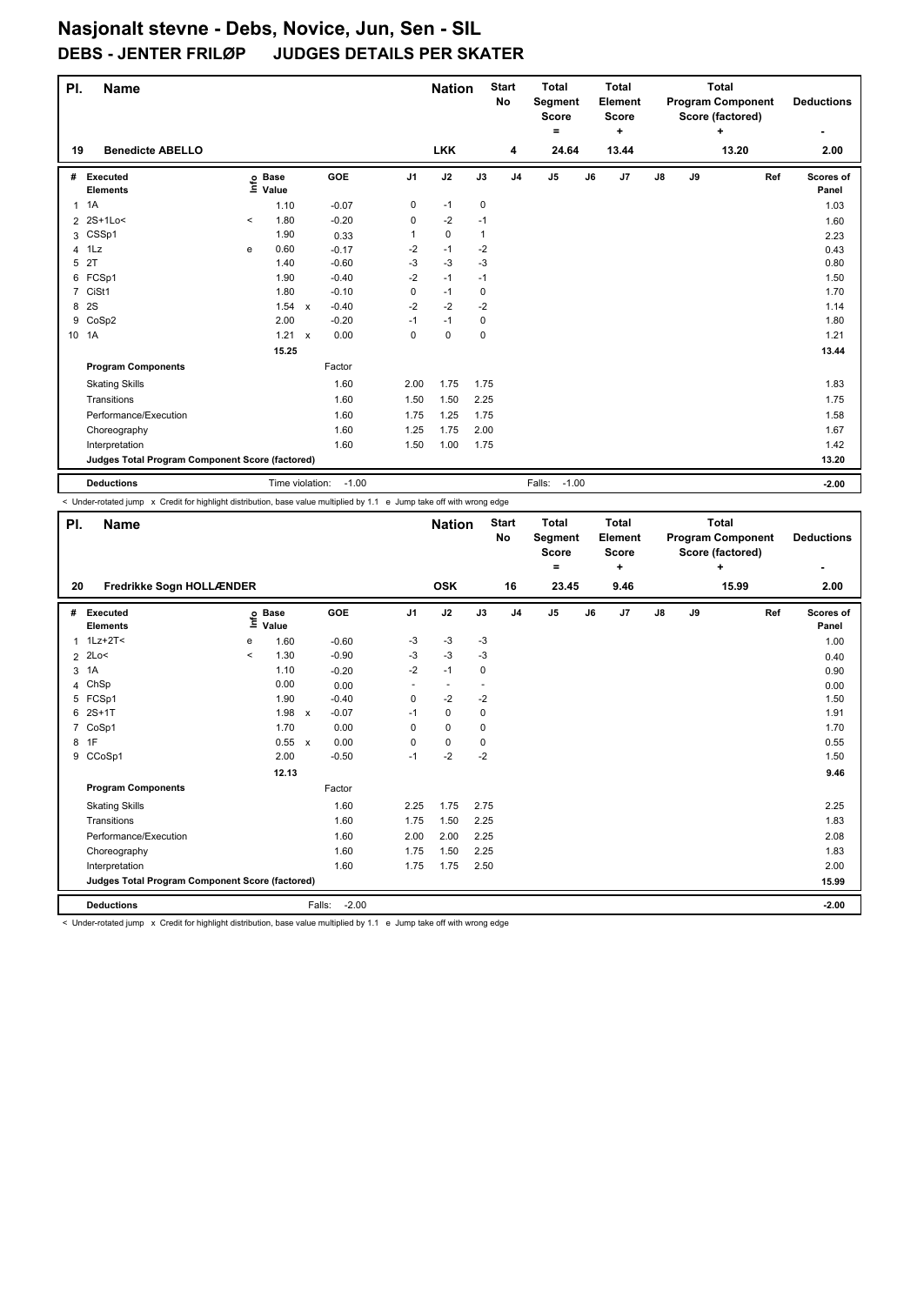| PI.            | <b>Name</b>                                     |         |                                  | <b>Nation</b> |         | <b>Start</b><br><b>No</b> | <b>Total</b><br>Segment<br><b>Score</b> |              | <b>Total</b><br>Element<br><b>Score</b> |                   |    | <b>Total</b><br><b>Program Component</b><br>Score (factored) |               | <b>Deductions</b> |       |     |                    |
|----------------|-------------------------------------------------|---------|----------------------------------|---------------|---------|---------------------------|-----------------------------------------|--------------|-----------------------------------------|-------------------|----|--------------------------------------------------------------|---------------|-------------------|-------|-----|--------------------|
|                |                                                 |         |                                  |               |         |                           |                                         |              |                                         | ۰                 |    | $\ddot{}$                                                    |               |                   | ÷     |     | ۰                  |
| 19             | <b>Benedicte ABELLO</b>                         |         |                                  |               |         |                           | <b>LKK</b>                              |              | 4                                       | 24.64             |    | 13.44                                                        |               |                   | 13.20 |     | 2.00               |
| #              | Executed<br><b>Elements</b>                     |         | <b>Base</b><br>e Base<br>⊆ Value |               | GOE     | J <sub>1</sub>            | J2                                      | J3           | J <sub>4</sub>                          | J5                | J6 | J7                                                           | $\mathsf{J}8$ | J9                |       | Ref | Scores of<br>Panel |
| $\mathbf{1}$   | 1A                                              |         | 1.10                             |               | $-0.07$ | 0                         | $-1$                                    | 0            |                                         |                   |    |                                                              |               |                   |       |     | 1.03               |
|                | 2 2S+1Lo<                                       | $\prec$ | 1.80                             |               | $-0.20$ | $\mathbf 0$               | $-2$                                    | $-1$         |                                         |                   |    |                                                              |               |                   |       |     | 1.60               |
|                | 3 CSSp1                                         |         | 1.90                             |               | 0.33    |                           | $\pmb{0}$                               | $\mathbf{1}$ |                                         |                   |    |                                                              |               |                   |       |     | 2.23               |
| $\overline{4}$ | 1Lz                                             | е       | 0.60                             |               | $-0.17$ | $-2$                      | $-1$                                    | $-2$         |                                         |                   |    |                                                              |               |                   |       |     | 0.43               |
| 5              | 2T                                              |         | 1.40                             |               | $-0.60$ | $-3$                      | $-3$                                    | $-3$         |                                         |                   |    |                                                              |               |                   |       |     | 0.80               |
| 6              | FCSp1                                           |         | 1.90                             |               | $-0.40$ | $-2$                      | $-1$                                    | $-1$         |                                         |                   |    |                                                              |               |                   |       |     | 1.50               |
| $\overline{7}$ | CiSt1                                           |         | 1.80                             |               | $-0.10$ | 0                         | $-1$                                    | 0            |                                         |                   |    |                                                              |               |                   |       |     | 1.70               |
| 8              | 2S                                              |         | 1.54                             | $\mathsf{x}$  | $-0.40$ | $-2$                      | $-2$                                    | $-2$         |                                         |                   |    |                                                              |               |                   |       |     | 1.14               |
| 9              | CoSp2                                           |         | 2.00                             |               | $-0.20$ | $-1$                      | $-1$                                    | 0            |                                         |                   |    |                                                              |               |                   |       |     | 1.80               |
|                | 10 1A                                           |         | 1.21                             | $\mathsf{x}$  | 0.00    | 0                         | $\mathbf 0$                             | $\mathbf 0$  |                                         |                   |    |                                                              |               |                   |       |     | 1.21               |
|                |                                                 |         | 15.25                            |               |         |                           |                                         |              |                                         |                   |    |                                                              |               |                   |       |     | 13.44              |
|                | <b>Program Components</b>                       |         |                                  |               | Factor  |                           |                                         |              |                                         |                   |    |                                                              |               |                   |       |     |                    |
|                | <b>Skating Skills</b>                           |         |                                  |               | 1.60    | 2.00                      | 1.75                                    | 1.75         |                                         |                   |    |                                                              |               |                   |       |     | 1.83               |
|                | Transitions                                     |         |                                  |               | 1.60    | 1.50                      | 1.50                                    | 2.25         |                                         |                   |    |                                                              |               |                   |       |     | 1.75               |
|                | Performance/Execution                           |         |                                  |               | 1.60    | 1.75                      | 1.25                                    | 1.75         |                                         |                   |    |                                                              |               |                   |       |     | 1.58               |
|                | Choreography                                    |         |                                  |               | 1.60    | 1.25                      | 1.75                                    | 2.00         |                                         |                   |    |                                                              |               |                   |       |     | 1.67               |
|                | Interpretation                                  |         |                                  |               | 1.60    | 1.50                      | 1.00                                    | 1.75         |                                         |                   |    |                                                              |               |                   |       |     | 1.42               |
|                | Judges Total Program Component Score (factored) |         |                                  |               |         |                           |                                         |              |                                         |                   |    |                                                              |               |                   |       |     | 13.20              |
|                | <b>Deductions</b>                               |         | Time violation:                  |               | $-1.00$ |                           |                                         |              |                                         | $-1.00$<br>Falls: |    |                                                              |               |                   |       |     | $-2.00$            |

< Under-rotated jump x Credit for highlight distribution, base value multiplied by 1.1 e Jump take off with wrong edge

| PI.            | <b>Name</b>                                     |         |                      |              |                   |                          | <b>Nation</b>  |                          | <b>Start</b><br>No | <b>Total</b><br>Segment<br><b>Score</b><br>۰ |    | Total<br>Element<br><b>Score</b><br>÷ |               |    | Total<br><b>Program Component</b><br>Score (factored)<br>÷ | <b>Deductions</b><br>٠ |
|----------------|-------------------------------------------------|---------|----------------------|--------------|-------------------|--------------------------|----------------|--------------------------|--------------------|----------------------------------------------|----|---------------------------------------|---------------|----|------------------------------------------------------------|------------------------|
| 20             | Fredrikke Sogn HOLLÆNDER                        |         |                      |              |                   |                          | <b>OSK</b>     |                          | 16                 | 23.45                                        |    | 9.46                                  |               |    | 15.99                                                      | 2.00                   |
| #              | Executed<br><b>Elements</b>                     | lnfo    | <b>Base</b><br>Value |              | <b>GOE</b>        | J <sub>1</sub>           | J2             | J3                       | J <sub>4</sub>     | J <sub>5</sub>                               | J6 | J7                                    | $\mathsf{J}8$ | J9 | Ref                                                        | Scores of<br>Panel     |
| 1              | $1Lz + 2T <$                                    | e       | 1.60                 |              | $-0.60$           | $-3$                     | -3             | $-3$                     |                    |                                              |    |                                       |               |    |                                                            | 1.00                   |
| $\overline{2}$ | 2Lo<                                            | $\prec$ | 1.30                 |              | $-0.90$           | -3                       | $-3$           | $-3$                     |                    |                                              |    |                                       |               |    |                                                            | 0.40                   |
| 3              | 1A                                              |         | 1.10                 |              | $-0.20$           | $-2$                     | $-1$           | 0                        |                    |                                              |    |                                       |               |    |                                                            | 0.90                   |
| 4              | ChSp                                            |         | 0.00                 |              | 0.00              | $\overline{\phantom{a}}$ | $\blacksquare$ | $\overline{\phantom{a}}$ |                    |                                              |    |                                       |               |    |                                                            | 0.00                   |
| 5              | FCSp1                                           |         | 1.90                 |              | $-0.40$           | 0                        | $-2$           | $-2$                     |                    |                                              |    |                                       |               |    |                                                            | 1.50                   |
| 6              | $2S+1T$                                         |         | 1.98                 | $\mathsf{x}$ | $-0.07$           | $-1$                     | $\mathbf 0$    | 0                        |                    |                                              |    |                                       |               |    |                                                            | 1.91                   |
| $\overline{7}$ | CoSp1                                           |         | 1.70                 |              | 0.00              | 0                        | $\mathbf 0$    | $\mathbf 0$              |                    |                                              |    |                                       |               |    |                                                            | 1.70                   |
|                | 8 1F                                            |         | 0.55                 | $\mathsf{x}$ | 0.00              | 0                        | $\mathbf 0$    | 0                        |                    |                                              |    |                                       |               |    |                                                            | 0.55                   |
|                | 9 CCoSp1                                        |         | 2.00                 |              | $-0.50$           | $-1$                     | $-2$           | $-2$                     |                    |                                              |    |                                       |               |    |                                                            | 1.50                   |
|                |                                                 |         | 12.13                |              |                   |                          |                |                          |                    |                                              |    |                                       |               |    |                                                            | 9.46                   |
|                | <b>Program Components</b>                       |         |                      |              | Factor            |                          |                |                          |                    |                                              |    |                                       |               |    |                                                            |                        |
|                | <b>Skating Skills</b>                           |         |                      |              | 1.60              | 2.25                     | 1.75           | 2.75                     |                    |                                              |    |                                       |               |    |                                                            | 2.25                   |
|                | Transitions                                     |         |                      |              | 1.60              | 1.75                     | 1.50           | 2.25                     |                    |                                              |    |                                       |               |    |                                                            | 1.83                   |
|                | Performance/Execution                           |         |                      |              | 1.60              | 2.00                     | 2.00           | 2.25                     |                    |                                              |    |                                       |               |    |                                                            | 2.08                   |
|                | Choreography                                    |         |                      |              | 1.60              | 1.75                     | 1.50           | 2.25                     |                    |                                              |    |                                       |               |    |                                                            | 1.83                   |
|                | Interpretation                                  |         |                      |              | 1.60              | 1.75                     | 1.75           | 2.50                     |                    |                                              |    |                                       |               |    |                                                            | 2.00                   |
|                | Judges Total Program Component Score (factored) |         |                      |              |                   |                          |                |                          |                    |                                              |    |                                       |               |    |                                                            | 15.99                  |
|                | <b>Deductions</b>                               |         |                      |              | $-2.00$<br>Falls: |                          |                |                          |                    |                                              |    |                                       |               |    |                                                            | $-2.00$                |

< Under-rotated jump x Credit for highlight distribution, base value multiplied by 1.1 e Jump take off with wrong edge